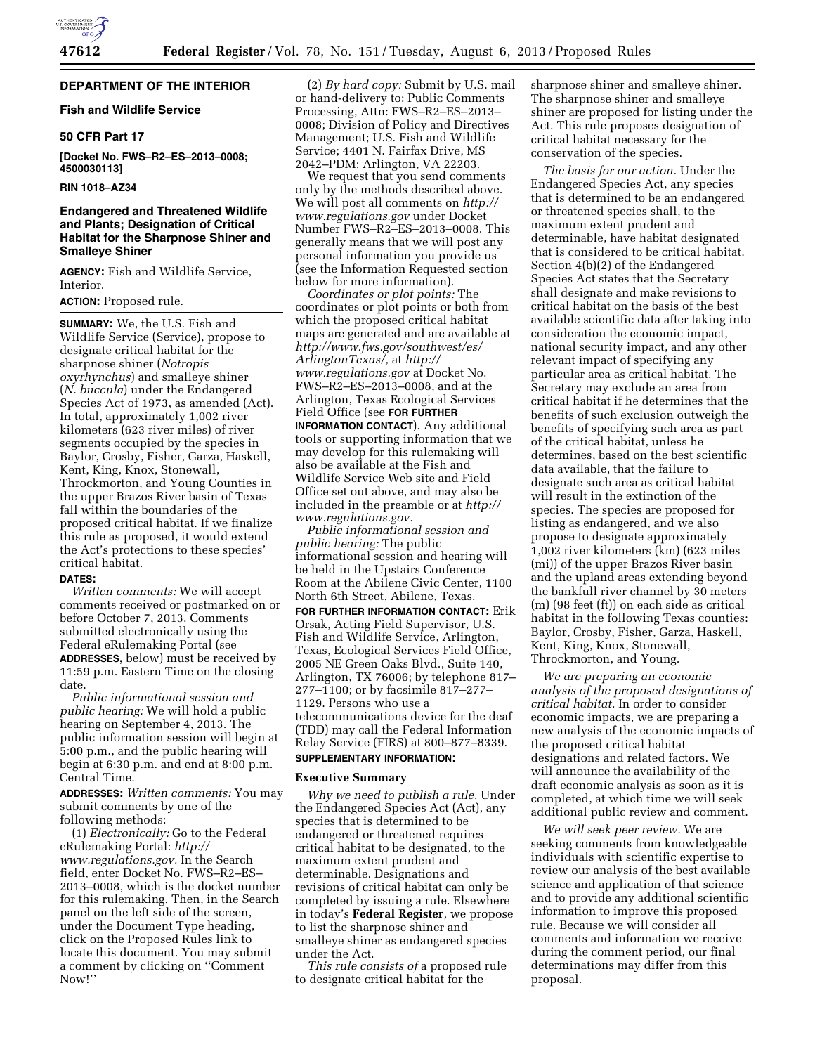# **DEPARTMENT OF THE INTERIOR**

# **Fish and Wildlife Service**

# **50 CFR Part 17**

**[Docket No. FWS–R2–ES–2013–0008; 4500030113]** 

# **RIN 1018–AZ34**

# **Endangered and Threatened Wildlife and Plants; Designation of Critical Habitat for the Sharpnose Shiner and Smalleye Shiner**

**AGENCY:** Fish and Wildlife Service, Interior.

# **ACTION:** Proposed rule.

**SUMMARY:** We, the U.S. Fish and Wildlife Service (Service), propose to designate critical habitat for the sharpnose shiner (*Notropis oxyrhynchus*) and smalleye shiner (*N. buccula*) under the Endangered Species Act of 1973, as amended (Act). In total, approximately 1,002 river kilometers (623 river miles) of river segments occupied by the species in Baylor, Crosby, Fisher, Garza, Haskell, Kent, King, Knox, Stonewall, Throckmorton, and Young Counties in the upper Brazos River basin of Texas fall within the boundaries of the proposed critical habitat. If we finalize this rule as proposed, it would extend the Act's protections to these species' critical habitat.

#### **DATES:**

*Written comments:* We will accept comments received or postmarked on or before October 7, 2013. Comments submitted electronically using the Federal eRulemaking Portal (see **ADDRESSES,** below) must be received by 11:59 p.m. Eastern Time on the closing date.

*Public informational session and public hearing:* We will hold a public hearing on September 4, 2013. The public information session will begin at 5:00 p.m., and the public hearing will begin at 6:30 p.m. and end at 8:00 p.m. Central Time.

**ADDRESSES:** *Written comments:* You may submit comments by one of the following methods:

(1) *Electronically:* Go to the Federal eRulemaking Portal: *[http://](http://www.regulations.gov) [www.regulations.gov.](http://www.regulations.gov)* In the Search field, enter Docket No. FWS–R2–ES– 2013–0008, which is the docket number for this rulemaking. Then, in the Search panel on the left side of the screen, under the Document Type heading, click on the Proposed Rules link to locate this document. You may submit a comment by clicking on ''Comment Now!''

(2) *By hard copy:* Submit by U.S. mail or hand-delivery to: Public Comments Processing, Attn: FWS–R2–ES–2013– 0008; Division of Policy and Directives Management; U.S. Fish and Wildlife Service; 4401 N. Fairfax Drive, MS 2042–PDM; Arlington, VA 22203.

We request that you send comments only by the methods described above. We will post all comments on *[http://](http://www.regulations.gov) [www.regulations.gov](http://www.regulations.gov)* under Docket Number FWS–R2–ES–2013–0008. This generally means that we will post any personal information you provide us (see the Information Requested section below for more information).

*Coordinates or plot points:* The coordinates or plot points or both from which the proposed critical habitat maps are generated and are available at *[http://www.fws.gov/southwest/es/](http://www.fws.gov/southwest/es/ArlingtonTexas/) [ArlingtonTexas/,](http://www.fws.gov/southwest/es/ArlingtonTexas/)* at *[http://](http://www.regulations.gov)  [www.regulations.gov](http://www.regulations.gov)* at Docket No. FWS–R2–ES–2013–0008, and at the Arlington, Texas Ecological Services Field Office (see **FOR FURTHER**

**INFORMATION CONTACT**). Any additional tools or supporting information that we may develop for this rulemaking will also be available at the Fish and Wildlife Service Web site and Field Office set out above, and may also be included in the preamble or at *[http://](http://www.regulations.gov) [www.regulations.gov.](http://www.regulations.gov)* 

*Public informational session and public hearing:* The public informational session and hearing will be held in the Upstairs Conference Room at the Abilene Civic Center, 1100 North 6th Street, Abilene, Texas.

**FOR FURTHER INFORMATION CONTACT:** Erik Orsak, Acting Field Supervisor, U.S. Fish and Wildlife Service, Arlington, Texas, Ecological Services Field Office, 2005 NE Green Oaks Blvd., Suite 140, Arlington, TX 76006; by telephone 817– 277–1100; or by facsimile 817–277– 1129. Persons who use a telecommunications device for the deaf (TDD) may call the Federal Information Relay Service (FIRS) at 800–877–8339. **SUPPLEMENTARY INFORMATION:** 

# **Executive Summary**

*Why we need to publish a rule.* Under the Endangered Species Act (Act), any species that is determined to be endangered or threatened requires critical habitat to be designated, to the maximum extent prudent and determinable. Designations and revisions of critical habitat can only be completed by issuing a rule. Elsewhere in today's **Federal Register**, we propose to list the sharpnose shiner and smalleye shiner as endangered species under the Act.

*This rule consists of* a proposed rule to designate critical habitat for the

sharpnose shiner and smalleye shiner. The sharpnose shiner and smalleye shiner are proposed for listing under the Act. This rule proposes designation of critical habitat necessary for the conservation of the species.

*The basis for our action.* Under the Endangered Species Act, any species that is determined to be an endangered or threatened species shall, to the maximum extent prudent and determinable, have habitat designated that is considered to be critical habitat. Section 4(b)(2) of the Endangered Species Act states that the Secretary shall designate and make revisions to critical habitat on the basis of the best available scientific data after taking into consideration the economic impact, national security impact, and any other relevant impact of specifying any particular area as critical habitat. The Secretary may exclude an area from critical habitat if he determines that the benefits of such exclusion outweigh the benefits of specifying such area as part of the critical habitat, unless he determines, based on the best scientific data available, that the failure to designate such area as critical habitat will result in the extinction of the species. The species are proposed for listing as endangered, and we also propose to designate approximately 1,002 river kilometers (km) (623 miles (mi)) of the upper Brazos River basin and the upland areas extending beyond the bankfull river channel by 30 meters (m) (98 feet (ft)) on each side as critical habitat in the following Texas counties: Baylor, Crosby, Fisher, Garza, Haskell, Kent, King, Knox, Stonewall, Throckmorton, and Young.

*We are preparing an economic analysis of the proposed designations of critical habitat.* In order to consider economic impacts, we are preparing a new analysis of the economic impacts of the proposed critical habitat designations and related factors. We will announce the availability of the draft economic analysis as soon as it is completed, at which time we will seek additional public review and comment.

*We will seek peer review.* We are seeking comments from knowledgeable individuals with scientific expertise to review our analysis of the best available science and application of that science and to provide any additional scientific information to improve this proposed rule. Because we will consider all comments and information we receive during the comment period, our final determinations may differ from this proposal.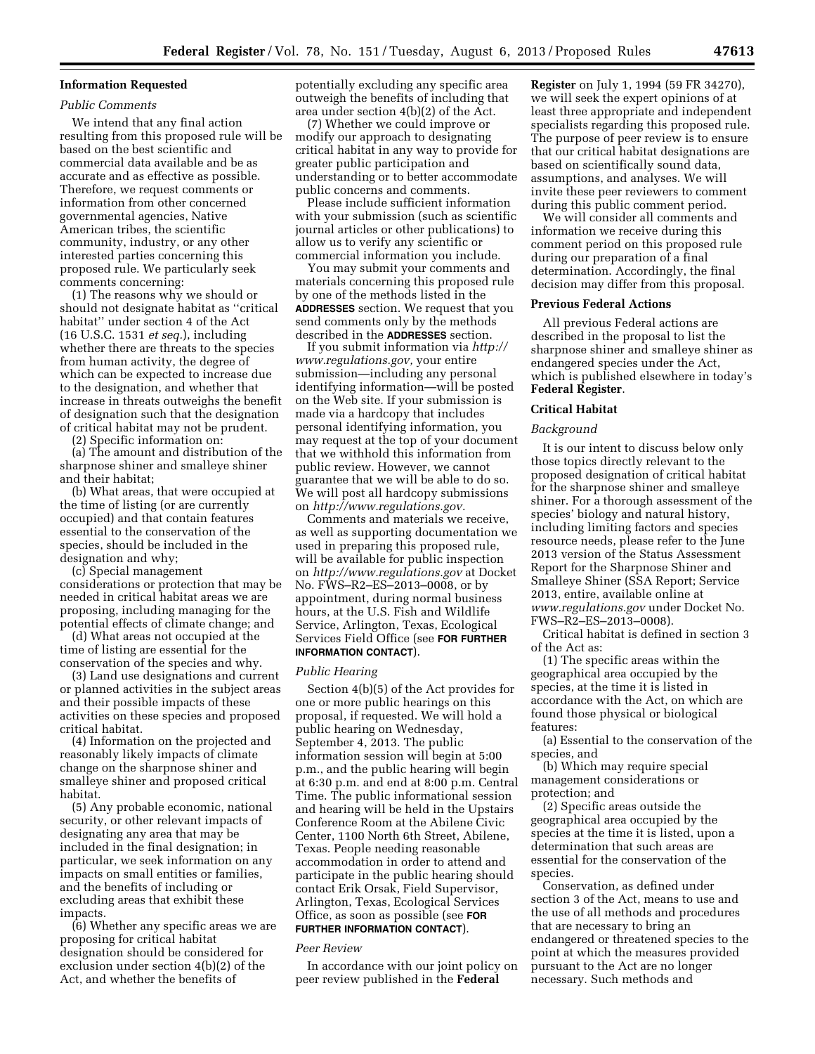# **Information Requested**

#### *Public Comments*

We intend that any final action resulting from this proposed rule will be based on the best scientific and commercial data available and be as accurate and as effective as possible. Therefore, we request comments or information from other concerned governmental agencies, Native American tribes, the scientific community, industry, or any other interested parties concerning this proposed rule. We particularly seek comments concerning:

(1) The reasons why we should or should not designate habitat as ''critical habitat'' under section 4 of the Act (16 U.S.C. 1531 *et seq.*), including whether there are threats to the species from human activity, the degree of which can be expected to increase due to the designation, and whether that increase in threats outweighs the benefit of designation such that the designation of critical habitat may not be prudent.

(2) Specific information on:

(a) The amount and distribution of the sharpnose shiner and smalleye shiner and their habitat;

(b) What areas, that were occupied at the time of listing (or are currently occupied) and that contain features essential to the conservation of the species, should be included in the designation and why;

(c) Special management considerations or protection that may be needed in critical habitat areas we are proposing, including managing for the potential effects of climate change; and

(d) What areas not occupied at the time of listing are essential for the conservation of the species and why.

(3) Land use designations and current or planned activities in the subject areas and their possible impacts of these activities on these species and proposed critical habitat.

(4) Information on the projected and reasonably likely impacts of climate change on the sharpnose shiner and smalleye shiner and proposed critical habitat.

(5) Any probable economic, national security, or other relevant impacts of designating any area that may be included in the final designation; in particular, we seek information on any impacts on small entities or families, and the benefits of including or excluding areas that exhibit these impacts.

(6) Whether any specific areas we are proposing for critical habitat designation should be considered for exclusion under section 4(b)(2) of the Act, and whether the benefits of

potentially excluding any specific area outweigh the benefits of including that area under section 4(b)(2) of the Act.

(7) Whether we could improve or modify our approach to designating critical habitat in any way to provide for greater public participation and understanding or to better accommodate public concerns and comments.

Please include sufficient information with your submission (such as scientific journal articles or other publications) to allow us to verify any scientific or commercial information you include.

You may submit your comments and materials concerning this proposed rule by one of the methods listed in the **ADDRESSES** section. We request that you send comments only by the methods described in the **ADDRESSES** section.

If you submit information via *[http://](http://www.regulations.gov) [www.regulations.gov,](http://www.regulations.gov)* your entire submission—including any personal identifying information—will be posted on the Web site. If your submission is made via a hardcopy that includes personal identifying information, you may request at the top of your document that we withhold this information from public review. However, we cannot guarantee that we will be able to do so. We will post all hardcopy submissions on *[http://www.regulations.gov.](http://www.regulations.gov)* 

Comments and materials we receive, as well as supporting documentation we used in preparing this proposed rule, will be available for public inspection on *<http://www.regulations.gov>* at Docket No. FWS–R2–ES–2013–0008, or by appointment, during normal business hours, at the U.S. Fish and Wildlife Service, Arlington, Texas, Ecological Services Field Office (see **FOR FURTHER INFORMATION CONTACT**).

# *Public Hearing*

Section 4(b)(5) of the Act provides for one or more public hearings on this proposal, if requested. We will hold a public hearing on Wednesday, September 4, 2013. The public information session will begin at 5:00 p.m., and the public hearing will begin at 6:30 p.m. and end at 8:00 p.m. Central Time. The public informational session and hearing will be held in the Upstairs Conference Room at the Abilene Civic Center, 1100 North 6th Street, Abilene, Texas. People needing reasonable accommodation in order to attend and participate in the public hearing should contact Erik Orsak, Field Supervisor, Arlington, Texas, Ecological Services Office, as soon as possible (see **FOR FURTHER INFORMATION CONTACT**).

#### *Peer Review*

In accordance with our joint policy on peer review published in the **Federal** 

**Register** on July 1, 1994 (59 FR 34270), we will seek the expert opinions of at least three appropriate and independent specialists regarding this proposed rule. The purpose of peer review is to ensure that our critical habitat designations are based on scientifically sound data, assumptions, and analyses. We will invite these peer reviewers to comment during this public comment period.

We will consider all comments and information we receive during this comment period on this proposed rule during our preparation of a final determination. Accordingly, the final decision may differ from this proposal.

### **Previous Federal Actions**

All previous Federal actions are described in the proposal to list the sharpnose shiner and smalleye shiner as endangered species under the Act, which is published elsewhere in today's **Federal Register**.

#### **Critical Habitat**

### *Background*

It is our intent to discuss below only those topics directly relevant to the proposed designation of critical habitat for the sharpnose shiner and smalleye shiner. For a thorough assessment of the species' biology and natural history, including limiting factors and species resource needs, please refer to the June 2013 version of the Status Assessment Report for the Sharpnose Shiner and Smalleye Shiner (SSA Report; Service 2013, entire, available online at *[www.regulations.gov](http://www.regulations.gov)* under Docket No. FWS–R2–ES–2013–0008).

Critical habitat is defined in section 3 of the Act as:

(1) The specific areas within the geographical area occupied by the species, at the time it is listed in accordance with the Act, on which are found those physical or biological features:

(a) Essential to the conservation of the species, and

(b) Which may require special management considerations or protection; and

(2) Specific areas outside the geographical area occupied by the species at the time it is listed, upon a determination that such areas are essential for the conservation of the species.

Conservation, as defined under section 3 of the Act, means to use and the use of all methods and procedures that are necessary to bring an endangered or threatened species to the point at which the measures provided pursuant to the Act are no longer necessary. Such methods and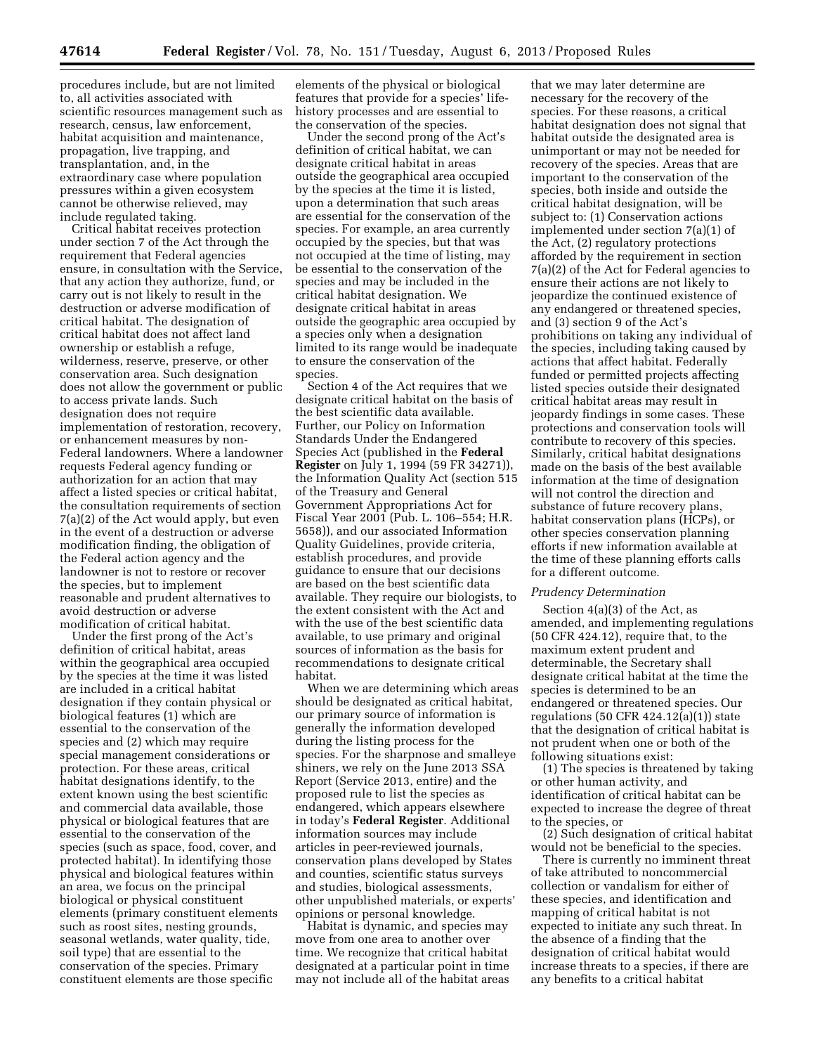procedures include, but are not limited to, all activities associated with scientific resources management such as research, census, law enforcement, habitat acquisition and maintenance, propagation, live trapping, and transplantation, and, in the extraordinary case where population pressures within a given ecosystem cannot be otherwise relieved, may include regulated taking.

Critical habitat receives protection under section 7 of the Act through the requirement that Federal agencies ensure, in consultation with the Service, that any action they authorize, fund, or carry out is not likely to result in the destruction or adverse modification of critical habitat. The designation of critical habitat does not affect land ownership or establish a refuge, wilderness, reserve, preserve, or other conservation area. Such designation does not allow the government or public to access private lands. Such designation does not require implementation of restoration, recovery, or enhancement measures by non-Federal landowners. Where a landowner requests Federal agency funding or authorization for an action that may affect a listed species or critical habitat, the consultation requirements of section 7(a)(2) of the Act would apply, but even in the event of a destruction or adverse modification finding, the obligation of the Federal action agency and the landowner is not to restore or recover the species, but to implement reasonable and prudent alternatives to avoid destruction or adverse modification of critical habitat.

Under the first prong of the Act's definition of critical habitat, areas within the geographical area occupied by the species at the time it was listed are included in a critical habitat designation if they contain physical or biological features (1) which are essential to the conservation of the species and (2) which may require special management considerations or protection. For these areas, critical habitat designations identify, to the extent known using the best scientific and commercial data available, those physical or biological features that are essential to the conservation of the species (such as space, food, cover, and protected habitat). In identifying those physical and biological features within an area, we focus on the principal biological or physical constituent elements (primary constituent elements such as roost sites, nesting grounds, seasonal wetlands, water quality, tide, soil type) that are essential to the conservation of the species. Primary constituent elements are those specific

elements of the physical or biological features that provide for a species' lifehistory processes and are essential to the conservation of the species.

Under the second prong of the Act's definition of critical habitat, we can designate critical habitat in areas outside the geographical area occupied by the species at the time it is listed, upon a determination that such areas are essential for the conservation of the species. For example, an area currently occupied by the species, but that was not occupied at the time of listing, may be essential to the conservation of the species and may be included in the critical habitat designation. We designate critical habitat in areas outside the geographic area occupied by a species only when a designation limited to its range would be inadequate to ensure the conservation of the species.

Section 4 of the Act requires that we designate critical habitat on the basis of the best scientific data available. Further, our Policy on Information Standards Under the Endangered Species Act (published in the **Federal Register** on July 1, 1994 (59 FR 34271)), the Information Quality Act (section 515 of the Treasury and General Government Appropriations Act for Fiscal Year 2001 (Pub. L. 106–554; H.R. 5658)), and our associated Information Quality Guidelines, provide criteria, establish procedures, and provide guidance to ensure that our decisions are based on the best scientific data available. They require our biologists, to the extent consistent with the Act and with the use of the best scientific data available, to use primary and original sources of information as the basis for recommendations to designate critical habitat.

When we are determining which areas should be designated as critical habitat, our primary source of information is generally the information developed during the listing process for the species. For the sharpnose and smalleye shiners, we rely on the June 2013 SSA Report (Service 2013, entire) and the proposed rule to list the species as endangered, which appears elsewhere in today's **Federal Register**. Additional information sources may include articles in peer-reviewed journals, conservation plans developed by States and counties, scientific status surveys and studies, biological assessments, other unpublished materials, or experts' opinions or personal knowledge.

Habitat is dynamic, and species may move from one area to another over time. We recognize that critical habitat designated at a particular point in time may not include all of the habitat areas

that we may later determine are necessary for the recovery of the species. For these reasons, a critical habitat designation does not signal that habitat outside the designated area is unimportant or may not be needed for recovery of the species. Areas that are important to the conservation of the species, both inside and outside the critical habitat designation, will be subject to: (1) Conservation actions implemented under section 7(a)(1) of the Act, (2) regulatory protections afforded by the requirement in section 7(a)(2) of the Act for Federal agencies to ensure their actions are not likely to jeopardize the continued existence of any endangered or threatened species, and (3) section 9 of the Act's prohibitions on taking any individual of the species, including taking caused by actions that affect habitat. Federally funded or permitted projects affecting listed species outside their designated critical habitat areas may result in jeopardy findings in some cases. These protections and conservation tools will contribute to recovery of this species. Similarly, critical habitat designations made on the basis of the best available information at the time of designation will not control the direction and substance of future recovery plans, habitat conservation plans (HCPs), or other species conservation planning efforts if new information available at the time of these planning efforts calls for a different outcome.

# *Prudency Determination*

Section 4(a)(3) of the Act, as amended, and implementing regulations (50 CFR 424.12), require that, to the maximum extent prudent and determinable, the Secretary shall designate critical habitat at the time the species is determined to be an endangered or threatened species. Our regulations (50 CFR  $424.12(a)(1)$ ) state that the designation of critical habitat is not prudent when one or both of the following situations exist:

(1) The species is threatened by taking or other human activity, and identification of critical habitat can be expected to increase the degree of threat to the species, or

(2) Such designation of critical habitat would not be beneficial to the species.

There is currently no imminent threat of take attributed to noncommercial collection or vandalism for either of these species, and identification and mapping of critical habitat is not expected to initiate any such threat. In the absence of a finding that the designation of critical habitat would increase threats to a species, if there are any benefits to a critical habitat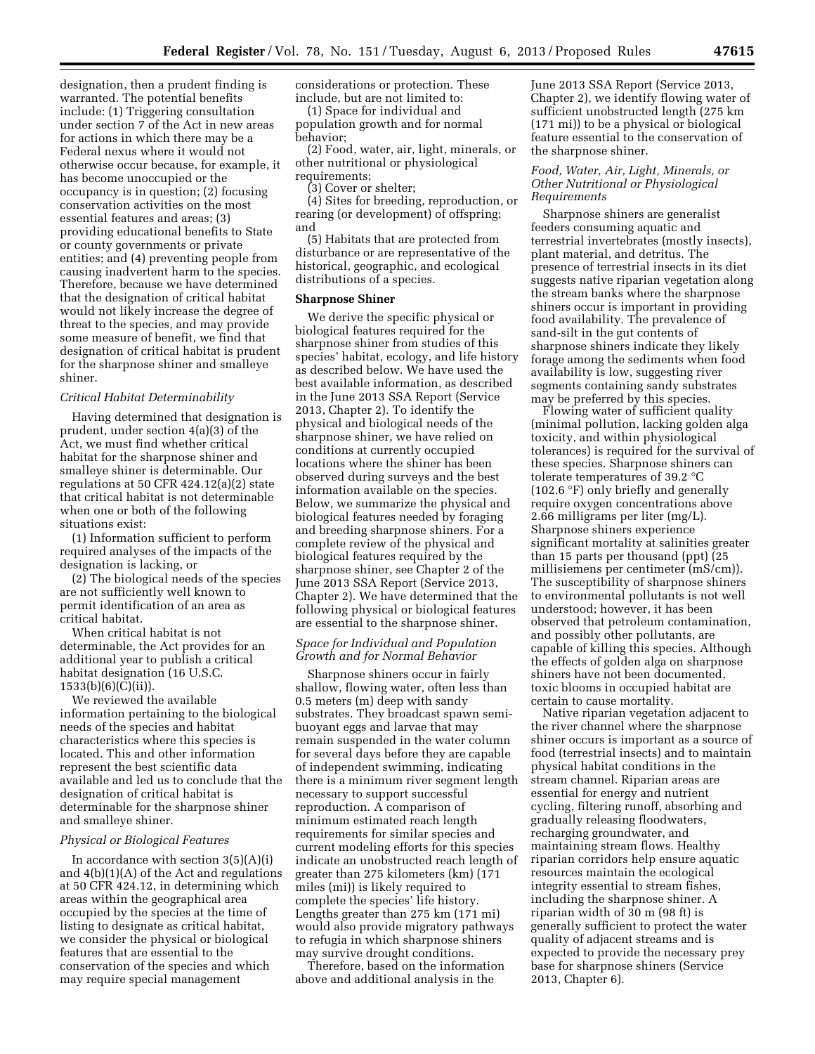designation, then a prudent finding is warranted. The potential benefits include: (1) Triggering consultation under section 7 of the Act in new areas for actions in which there may be a Federal nexus where it would not otherwise occur because, for example, it has become unoccupied or the occupancy is in question; (2) focusing conservation activities on the most essential features and areas; (3) providing educational benefits to State or county governments or private entities; and (4) preventing people from causing inadvertent harm to the species. Therefore, because we have determined that the designation of critical habitat would not likely increase the degree of threat to the species, and may provide some measure of benefit, we find that designation of critical habitat is prudent for the sharpnose shiner and smalleye shiner.

#### *Critical Habitat Determinability*

Having determined that designation is prudent, under section 4(a)(3) of the Act, we must find whether critical habitat for the sharpnose shiner and smalleye shiner is determinable. Our regulations at 50 CFR 424.12(a)(2) state that critical habitat is not determinable when one or both of the following situations exist:

(1) Information sufficient to perform required analyses of the impacts of the designation is lacking, or

(2) The biological needs of the species are not sufficiently well known to permit identification of an area as critical habitat.

When critical habitat is not determinable, the Act provides for an additional year to publish a critical habitat designation (16 U.S.C. 1533(b)(6)(C)(ii)).

We reviewed the available information pertaining to the biological needs of the species and habitat characteristics where this species is located. This and other information represent the best scientific data available and led us to conclude that the designation of critical habitat is determinable for the sharpnose shiner and smalleye shiner.

#### *Physical or Biological Features*

In accordance with section  $3(5)(A)(i)$ and 4(b)(1)(A) of the Act and regulations at 50 CFR 424.12, in determining which areas within the geographical area occupied by the species at the time of listing to designate as critical habitat, we consider the physical or biological features that are essential to the conservation of the species and which may require special management

considerations or protection. These include, but are not limited to:

(1) Space for individual and population growth and for normal behavior;

(2) Food, water, air, light, minerals, or other nutritional or physiological requirements;

(3) Cover or shelter;

(4) Sites for breeding, reproduction, or rearing (or development) of offspring; and

(5) Habitats that are protected from disturbance or are representative of the historical, geographic, and ecological distributions of a species.

#### **Sharpnose Shiner**

We derive the specific physical or biological features required for the sharpnose shiner from studies of this species' habitat, ecology, and life history as described below. We have used the best available information, as described in the June 2013 SSA Report (Service 2013, Chapter 2). To identify the physical and biological needs of the sharpnose shiner, we have relied on conditions at currently occupied locations where the shiner has been observed during surveys and the best information available on the species. Below, we summarize the physical and biological features needed by foraging and breeding sharpnose shiners. For a complete review of the physical and biological features required by the sharpnose shiner, see Chapter 2 of the June 2013 SSA Report (Service 2013, Chapter 2). We have determined that the following physical or biological features are essential to the sharpnose shiner.

# *Space for Individual and Population Growth and for Normal Behavior*

Sharpnose shiners occur in fairly shallow, flowing water, often less than 0.5 meters (m) deep with sandy substrates. They broadcast spawn semibuoyant eggs and larvae that may remain suspended in the water column for several days before they are capable of independent swimming, indicating there is a minimum river segment length necessary to support successful reproduction. A comparison of minimum estimated reach length requirements for similar species and current modeling efforts for this species indicate an unobstructed reach length of greater than 275 kilometers (km) (171 miles (mi)) is likely required to complete the species' life history. Lengths greater than 275 km (171 mi) would also provide migratory pathways to refugia in which sharpnose shiners may survive drought conditions.

Therefore, based on the information above and additional analysis in the

June 2013 SSA Report (Service 2013, Chapter 2), we identify flowing water of sufficient unobstructed length (275 km (171 mi)) to be a physical or biological feature essential to the conservation of the sharpnose shiner.

## *Food, Water, Air, Light, Minerals, or Other Nutritional or Physiological Requirements*

Sharpnose shiners are generalist feeders consuming aquatic and terrestrial invertebrates (mostly insects), plant material, and detritus. The presence of terrestrial insects in its diet suggests native riparian vegetation along the stream banks where the sharpnose shiners occur is important in providing food availability. The prevalence of sand-silt in the gut contents of sharpnose shiners indicate they likely forage among the sediments when food availability is low, suggesting river segments containing sandy substrates may be preferred by this species.

Flowing water of sufficient quality (minimal pollution, lacking golden alga toxicity, and within physiological tolerances) is required for the survival of these species. Sharpnose shiners can tolerate temperatures of 39.2 °C (102.6 °F) only briefly and generally require oxygen concentrations above 2.66 milligrams per liter (mg/L). Sharpnose shiners experience significant mortality at salinities greater than 15 parts per thousand (ppt) (25 millisiemens per centimeter (mS/cm)). The susceptibility of sharpnose shiners to environmental pollutants is not well understood; however, it has been observed that petroleum contamination, and possibly other pollutants, are capable of killing this species. Although the effects of golden alga on sharpnose shiners have not been documented, toxic blooms in occupied habitat are certain to cause mortality.

Native riparian vegetation adjacent to the river channel where the sharpnose shiner occurs is important as a source of food (terrestrial insects) and to maintain physical habitat conditions in the stream channel. Riparian areas are essential for energy and nutrient cycling, filtering runoff, absorbing and gradually releasing floodwaters, recharging groundwater, and maintaining stream flows. Healthy riparian corridors help ensure aquatic resources maintain the ecological integrity essential to stream fishes, including the sharpnose shiner. A riparian width of 30 m (98 ft) is generally sufficient to protect the water quality of adjacent streams and is expected to provide the necessary prey base for sharpnose shiners (Service 2013, Chapter 6).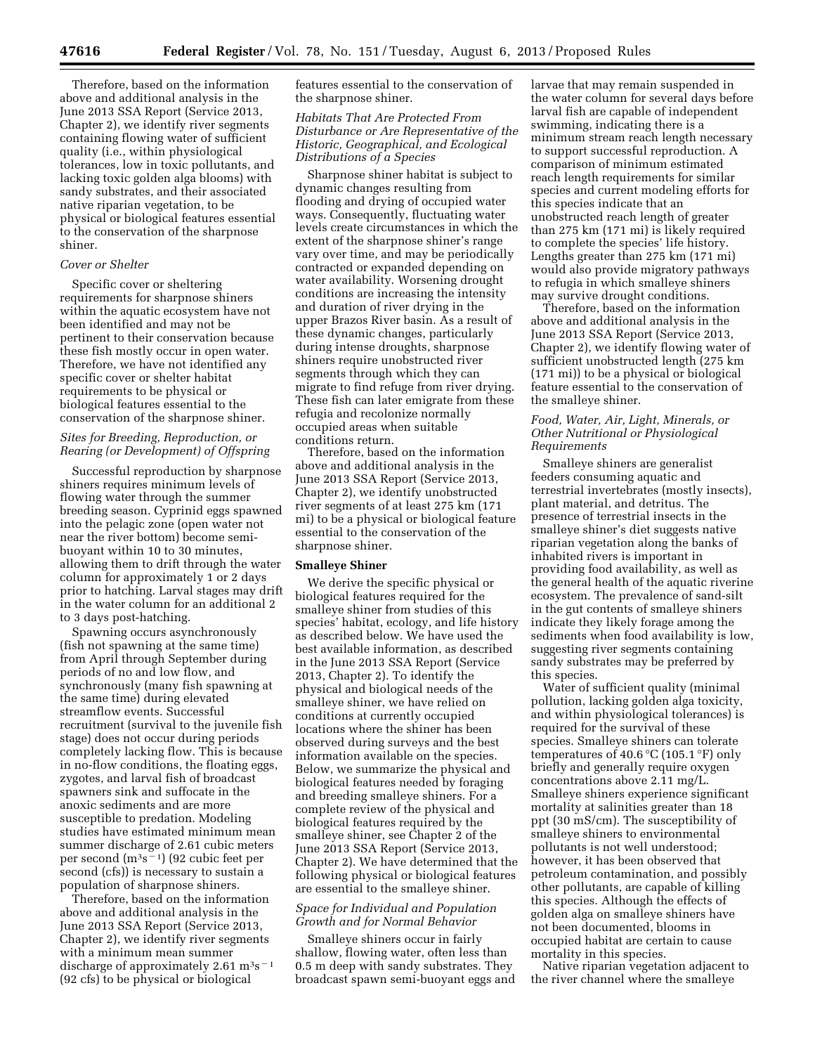Therefore, based on the information above and additional analysis in the June 2013 SSA Report (Service 2013, Chapter 2), we identify river segments containing flowing water of sufficient quality (i.e., within physiological tolerances, low in toxic pollutants, and lacking toxic golden alga blooms) with sandy substrates, and their associated native riparian vegetation, to be physical or biological features essential to the conservation of the sharpnose shiner.

# *Cover or Shelter*

Specific cover or sheltering requirements for sharpnose shiners within the aquatic ecosystem have not been identified and may not be pertinent to their conservation because these fish mostly occur in open water. Therefore, we have not identified any specific cover or shelter habitat requirements to be physical or biological features essential to the conservation of the sharpnose shiner.

# *Sites for Breeding, Reproduction, or Rearing (or Development) of Offspring*

Successful reproduction by sharpnose shiners requires minimum levels of flowing water through the summer breeding season. Cyprinid eggs spawned into the pelagic zone (open water not near the river bottom) become semibuoyant within 10 to 30 minutes, allowing them to drift through the water column for approximately 1 or 2 days prior to hatching. Larval stages may drift in the water column for an additional 2 to 3 days post-hatching.

Spawning occurs asynchronously (fish not spawning at the same time) from April through September during periods of no and low flow, and synchronously (many fish spawning at the same time) during elevated streamflow events. Successful recruitment (survival to the juvenile fish stage) does not occur during periods completely lacking flow. This is because in no-flow conditions, the floating eggs, zygotes, and larval fish of broadcast spawners sink and suffocate in the anoxic sediments and are more susceptible to predation. Modeling studies have estimated minimum mean summer discharge of 2.61 cubic meters per second  $(m^3s^{-1})$  (92 cubic feet per second (cfs)) is necessary to sustain a population of sharpnose shiners.

Therefore, based on the information above and additional analysis in the June 2013 SSA Report (Service 2013, Chapter 2), we identify river segments with a minimum mean summer discharge of approximately  $2.61 \text{ m}^3\text{s}^{-1}$ (92 cfs) to be physical or biological

features essential to the conservation of the sharpnose shiner.

# *Habitats That Are Protected From Disturbance or Are Representative of the Historic, Geographical, and Ecological Distributions of a Species*

Sharpnose shiner habitat is subject to dynamic changes resulting from flooding and drying of occupied water ways. Consequently, fluctuating water levels create circumstances in which the extent of the sharpnose shiner's range vary over time, and may be periodically contracted or expanded depending on water availability. Worsening drought conditions are increasing the intensity and duration of river drying in the upper Brazos River basin. As a result of these dynamic changes, particularly during intense droughts, sharpnose shiners require unobstructed river segments through which they can migrate to find refuge from river drying. These fish can later emigrate from these refugia and recolonize normally occupied areas when suitable conditions return.

Therefore, based on the information above and additional analysis in the June 2013 SSA Report (Service 2013, Chapter 2), we identify unobstructed river segments of at least 275 km (171 mi) to be a physical or biological feature essential to the conservation of the sharpnose shiner.

#### **Smalleye Shiner**

We derive the specific physical or biological features required for the smalleye shiner from studies of this species' habitat, ecology, and life history as described below. We have used the best available information, as described in the June 2013 SSA Report (Service 2013, Chapter 2). To identify the physical and biological needs of the smalleye shiner, we have relied on conditions at currently occupied locations where the shiner has been observed during surveys and the best information available on the species. Below, we summarize the physical and biological features needed by foraging and breeding smalleye shiners. For a complete review of the physical and biological features required by the smalleye shiner, see Chapter 2 of the June 2013 SSA Report (Service 2013, Chapter 2). We have determined that the following physical or biological features are essential to the smalleye shiner.

# *Space for Individual and Population Growth and for Normal Behavior*

Smalleye shiners occur in fairly shallow, flowing water, often less than 0.5 m deep with sandy substrates. They broadcast spawn semi-buoyant eggs and

larvae that may remain suspended in the water column for several days before larval fish are capable of independent swimming, indicating there is a minimum stream reach length necessary to support successful reproduction. A comparison of minimum estimated reach length requirements for similar species and current modeling efforts for this species indicate that an unobstructed reach length of greater than 275 km (171 mi) is likely required to complete the species' life history. Lengths greater than 275 km (171 mi) would also provide migratory pathways to refugia in which smalleye shiners may survive drought conditions.

Therefore, based on the information above and additional analysis in the June 2013 SSA Report (Service 2013, Chapter 2), we identify flowing water of sufficient unobstructed length (275 km (171 mi)) to be a physical or biological feature essential to the conservation of the smalleye shiner.

# *Food, Water, Air, Light, Minerals, or Other Nutritional or Physiological Requirements*

Smalleye shiners are generalist feeders consuming aquatic and terrestrial invertebrates (mostly insects), plant material, and detritus. The presence of terrestrial insects in the smalleye shiner's diet suggests native riparian vegetation along the banks of inhabited rivers is important in providing food availability, as well as the general health of the aquatic riverine ecosystem. The prevalence of sand-silt in the gut contents of smalleye shiners indicate they likely forage among the sediments when food availability is low, suggesting river segments containing sandy substrates may be preferred by this species.

Water of sufficient quality (minimal pollution, lacking golden alga toxicity, and within physiological tolerances) is required for the survival of these species. Smalleye shiners can tolerate temperatures of 40.6  $\mathrm{C}$  (105.1  $\mathrm{F}$ ) only briefly and generally require oxygen concentrations above 2.11 mg/L. Smalleye shiners experience significant mortality at salinities greater than 18 ppt (30 mS/cm). The susceptibility of smalleye shiners to environmental pollutants is not well understood; however, it has been observed that petroleum contamination, and possibly other pollutants, are capable of killing this species. Although the effects of golden alga on smalleye shiners have not been documented, blooms in occupied habitat are certain to cause mortality in this species.

Native riparian vegetation adjacent to the river channel where the smalleye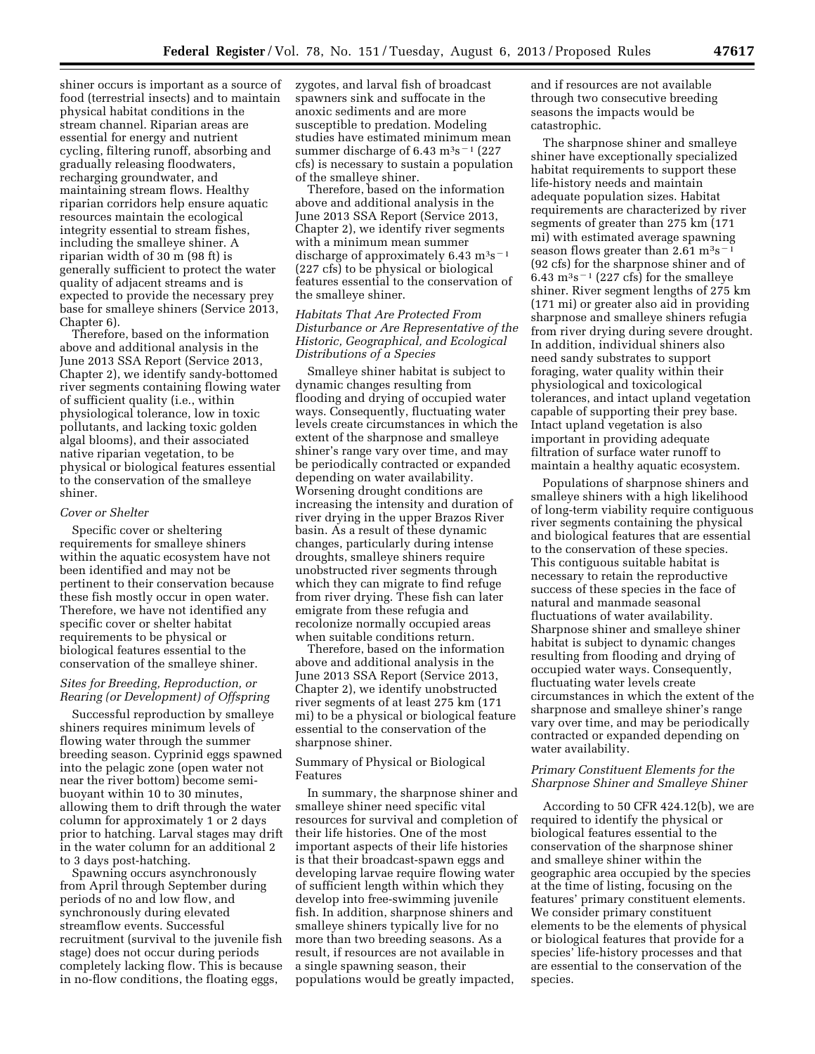shiner occurs is important as a source of food (terrestrial insects) and to maintain physical habitat conditions in the stream channel. Riparian areas are essential for energy and nutrient cycling, filtering runoff, absorbing and gradually releasing floodwaters, recharging groundwater, and maintaining stream flows. Healthy riparian corridors help ensure aquatic resources maintain the ecological integrity essential to stream fishes, including the smalleye shiner. A riparian width of 30 m (98 ft) is generally sufficient to protect the water quality of adjacent streams and is expected to provide the necessary prey base for smalleye shiners (Service 2013, Chapter 6).

Therefore, based on the information above and additional analysis in the June 2013 SSA Report (Service 2013, Chapter 2), we identify sandy-bottomed river segments containing flowing water of sufficient quality (i.e., within physiological tolerance, low in toxic pollutants, and lacking toxic golden algal blooms), and their associated native riparian vegetation, to be physical or biological features essential to the conservation of the smalleye shiner.

# *Cover or Shelter*

Specific cover or sheltering requirements for smalleye shiners within the aquatic ecosystem have not been identified and may not be pertinent to their conservation because these fish mostly occur in open water. Therefore, we have not identified any specific cover or shelter habitat requirements to be physical or biological features essential to the conservation of the smalleye shiner.

#### *Sites for Breeding, Reproduction, or Rearing (or Development) of Offspring*

Successful reproduction by smalleye shiners requires minimum levels of flowing water through the summer breeding season. Cyprinid eggs spawned into the pelagic zone (open water not near the river bottom) become semibuoyant within 10 to 30 minutes, allowing them to drift through the water column for approximately 1 or 2 days prior to hatching. Larval stages may drift in the water column for an additional 2 to 3 days post-hatching.

Spawning occurs asynchronously from April through September during periods of no and low flow, and synchronously during elevated streamflow events. Successful recruitment (survival to the juvenile fish stage) does not occur during periods completely lacking flow. This is because in no-flow conditions, the floating eggs,

zygotes, and larval fish of broadcast spawners sink and suffocate in the anoxic sediments and are more susceptible to predation. Modeling studies have estimated minimum mean summer discharge of 6.43 m<sup>3</sup>s<sup> $-1$ </sup> (227 cfs) is necessary to sustain a population of the smalleye shiner.

Therefore, based on the information above and additional analysis in the June 2013 SSA Report (Service 2013, Chapter 2), we identify river segments with a minimum mean summer discharge of approximately  $6.43 \text{ m}^3\text{s}^{-1}$ (227 cfs) to be physical or biological features essential to the conservation of the smalleye shiner.

# *Habitats That Are Protected From Disturbance or Are Representative of the Historic, Geographical, and Ecological Distributions of a Species*

Smalleye shiner habitat is subject to dynamic changes resulting from flooding and drying of occupied water ways. Consequently, fluctuating water levels create circumstances in which the extent of the sharpnose and smalleye shiner's range vary over time, and may be periodically contracted or expanded depending on water availability. Worsening drought conditions are increasing the intensity and duration of river drying in the upper Brazos River basin. As a result of these dynamic changes, particularly during intense droughts, smalleye shiners require unobstructed river segments through which they can migrate to find refuge from river drying. These fish can later emigrate from these refugia and recolonize normally occupied areas when suitable conditions return.

Therefore, based on the information above and additional analysis in the June 2013 SSA Report (Service 2013, Chapter 2), we identify unobstructed river segments of at least 275 km (171 mi) to be a physical or biological feature essential to the conservation of the sharpnose shiner.

#### Summary of Physical or Biological Features

In summary, the sharpnose shiner and smalleye shiner need specific vital resources for survival and completion of their life histories. One of the most important aspects of their life histories is that their broadcast-spawn eggs and developing larvae require flowing water of sufficient length within which they develop into free-swimming juvenile fish. In addition, sharpnose shiners and smalleye shiners typically live for no more than two breeding seasons. As a result, if resources are not available in a single spawning season, their populations would be greatly impacted,

and if resources are not available through two consecutive breeding seasons the impacts would be catastrophic.

The sharpnose shiner and smalleye shiner have exceptionally specialized habitat requirements to support these life-history needs and maintain adequate population sizes. Habitat requirements are characterized by river segments of greater than 275 km (171 mi) with estimated average spawning season flows greater than  $2.61 \text{ m}^3\text{s}^-$ (92 cfs) for the sharpnose shiner and of 6.43  $\rm m<sup>3</sup>s<sup>-1</sup>$  (227 cfs) for the smalleye shiner. River segment lengths of 275 km (171 mi) or greater also aid in providing sharpnose and smalleye shiners refugia from river drying during severe drought. In addition, individual shiners also need sandy substrates to support foraging, water quality within their physiological and toxicological tolerances, and intact upland vegetation capable of supporting their prey base. Intact upland vegetation is also important in providing adequate filtration of surface water runoff to maintain a healthy aquatic ecosystem.

Populations of sharpnose shiners and smalleye shiners with a high likelihood of long-term viability require contiguous river segments containing the physical and biological features that are essential to the conservation of these species. This contiguous suitable habitat is necessary to retain the reproductive success of these species in the face of natural and manmade seasonal fluctuations of water availability. Sharpnose shiner and smalleye shiner habitat is subject to dynamic changes resulting from flooding and drying of occupied water ways. Consequently, fluctuating water levels create circumstances in which the extent of the sharpnose and smalleye shiner's range vary over time, and may be periodically contracted or expanded depending on water availability.

# *Primary Constituent Elements for the Sharpnose Shiner and Smalleye Shiner*

According to 50 CFR 424.12(b), we are required to identify the physical or biological features essential to the conservation of the sharpnose shiner and smalleye shiner within the geographic area occupied by the species at the time of listing, focusing on the features' primary constituent elements. We consider primary constituent elements to be the elements of physical or biological features that provide for a species' life-history processes and that are essential to the conservation of the species.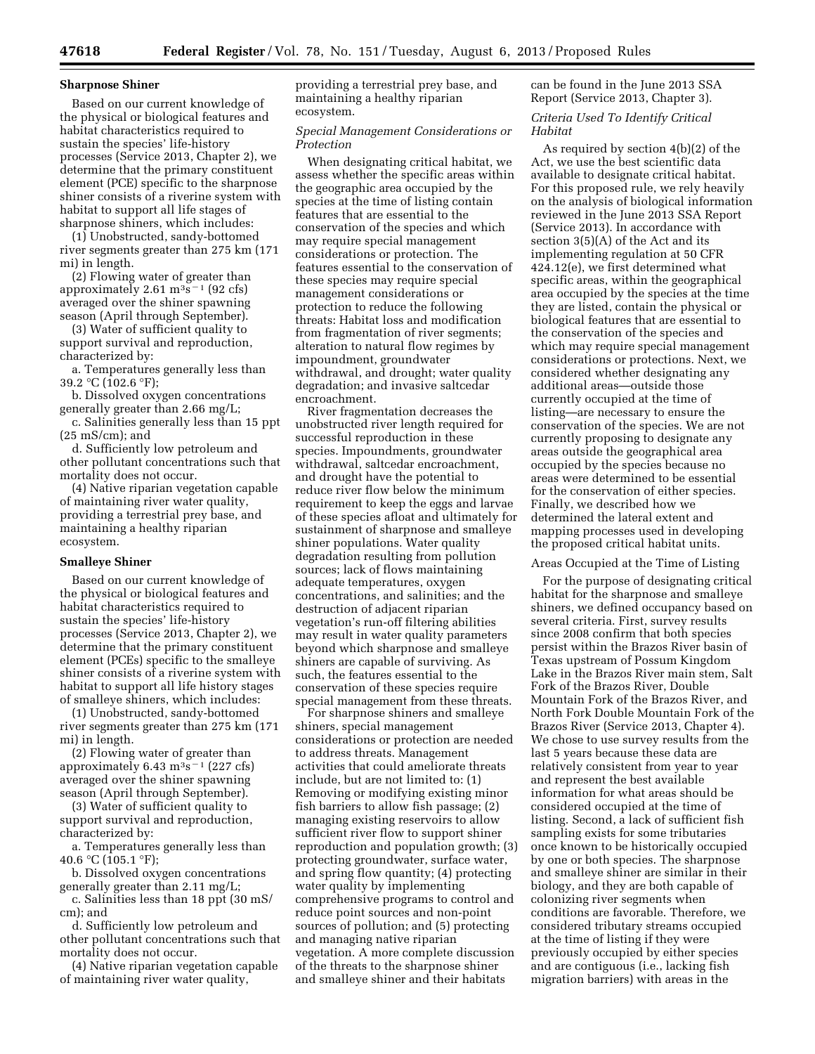#### **Sharpnose Shiner**

Based on our current knowledge of the physical or biological features and habitat characteristics required to sustain the species' life-history processes (Service 2013, Chapter 2), we determine that the primary constituent element (PCE) specific to the sharpnose shiner consists of a riverine system with habitat to support all life stages of sharpnose shiners, which includes:

(1) Unobstructed, sandy-bottomed river segments greater than 275 km (171 mi) in length.

(2) Flowing water of greater than approximately  $2.61 \text{ m}^3\text{s}^{-1}$  (92 cfs) averaged over the shiner spawning season (April through September).

(3) Water of sufficient quality to support survival and reproduction, characterized by:

a. Temperatures generally less than 39.2 °C (102.6 °F);

b. Dissolved oxygen concentrations generally greater than 2.66 mg/L; c. Salinities generally less than 15 ppt

 $(25 \text{ mS/cm})$ ; and

d. Sufficiently low petroleum and other pollutant concentrations such that mortality does not occur.

(4) Native riparian vegetation capable of maintaining river water quality, providing a terrestrial prey base, and maintaining a healthy riparian ecosystem.

#### **Smalleye Shiner**

Based on our current knowledge of the physical or biological features and habitat characteristics required to sustain the species' life-history processes (Service 2013, Chapter 2), we determine that the primary constituent element (PCEs) specific to the smalleye shiner consists of a riverine system with habitat to support all life history stages of smalleye shiners, which includes:

(1) Unobstructed, sandy-bottomed river segments greater than 275 km (171 mi) in length.

(2) Flowing water of greater than approximately 6.43  $\text{m}^3\text{s}^{-1}$  (227 cfs) averaged over the shiner spawning season (April through September).

(3) Water of sufficient quality to support survival and reproduction, characterized by:

a. Temperatures generally less than 40.6 °C (105.1 °F);

b. Dissolved oxygen concentrations generally greater than 2.11 mg/L;

c. Salinities less than 18 ppt (30 mS/ cm); and

d. Sufficiently low petroleum and other pollutant concentrations such that mortality does not occur.

(4) Native riparian vegetation capable of maintaining river water quality,

providing a terrestrial prey base, and maintaining a healthy riparian ecosystem.

### *Special Management Considerations or Protection*

When designating critical habitat, we assess whether the specific areas within the geographic area occupied by the species at the time of listing contain features that are essential to the conservation of the species and which may require special management considerations or protection. The features essential to the conservation of these species may require special management considerations or protection to reduce the following threats: Habitat loss and modification from fragmentation of river segments; alteration to natural flow regimes by impoundment, groundwater withdrawal, and drought; water quality degradation; and invasive saltcedar encroachment.

River fragmentation decreases the unobstructed river length required for successful reproduction in these species. Impoundments, groundwater withdrawal, saltcedar encroachment, and drought have the potential to reduce river flow below the minimum requirement to keep the eggs and larvae of these species afloat and ultimately for sustainment of sharpnose and smalleye shiner populations. Water quality degradation resulting from pollution sources; lack of flows maintaining adequate temperatures, oxygen concentrations, and salinities; and the destruction of adjacent riparian vegetation's run-off filtering abilities may result in water quality parameters beyond which sharpnose and smalleye shiners are capable of surviving. As such, the features essential to the conservation of these species require special management from these threats.

For sharpnose shiners and smalleye shiners, special management considerations or protection are needed to address threats. Management activities that could ameliorate threats include, but are not limited to: (1) Removing or modifying existing minor fish barriers to allow fish passage; (2) managing existing reservoirs to allow sufficient river flow to support shiner reproduction and population growth; (3) protecting groundwater, surface water, and spring flow quantity; (4) protecting water quality by implementing comprehensive programs to control and reduce point sources and non-point sources of pollution; and (5) protecting and managing native riparian vegetation. A more complete discussion of the threats to the sharpnose shiner and smalleye shiner and their habitats

can be found in the June 2013 SSA Report (Service 2013, Chapter 3).

# *Criteria Used To Identify Critical Habitat*

As required by section 4(b)(2) of the Act, we use the best scientific data available to designate critical habitat. For this proposed rule, we rely heavily on the analysis of biological information reviewed in the June 2013 SSA Report (Service 2013). In accordance with section 3(5)(A) of the Act and its implementing regulation at 50 CFR 424.12(e), we first determined what specific areas, within the geographical area occupied by the species at the time they are listed, contain the physical or biological features that are essential to the conservation of the species and which may require special management considerations or protections. Next, we considered whether designating any additional areas—outside those currently occupied at the time of listing—are necessary to ensure the conservation of the species. We are not currently proposing to designate any areas outside the geographical area occupied by the species because no areas were determined to be essential for the conservation of either species. Finally, we described how we determined the lateral extent and mapping processes used in developing the proposed critical habitat units.

#### Areas Occupied at the Time of Listing

For the purpose of designating critical habitat for the sharpnose and smalleye shiners, we defined occupancy based on several criteria. First, survey results since 2008 confirm that both species persist within the Brazos River basin of Texas upstream of Possum Kingdom Lake in the Brazos River main stem, Salt Fork of the Brazos River, Double Mountain Fork of the Brazos River, and North Fork Double Mountain Fork of the Brazos River (Service 2013, Chapter 4). We chose to use survey results from the last 5 years because these data are relatively consistent from year to year and represent the best available information for what areas should be considered occupied at the time of listing. Second, a lack of sufficient fish sampling exists for some tributaries once known to be historically occupied by one or both species. The sharpnose and smalleye shiner are similar in their biology, and they are both capable of colonizing river segments when conditions are favorable. Therefore, we considered tributary streams occupied at the time of listing if they were previously occupied by either species and are contiguous (i.e., lacking fish migration barriers) with areas in the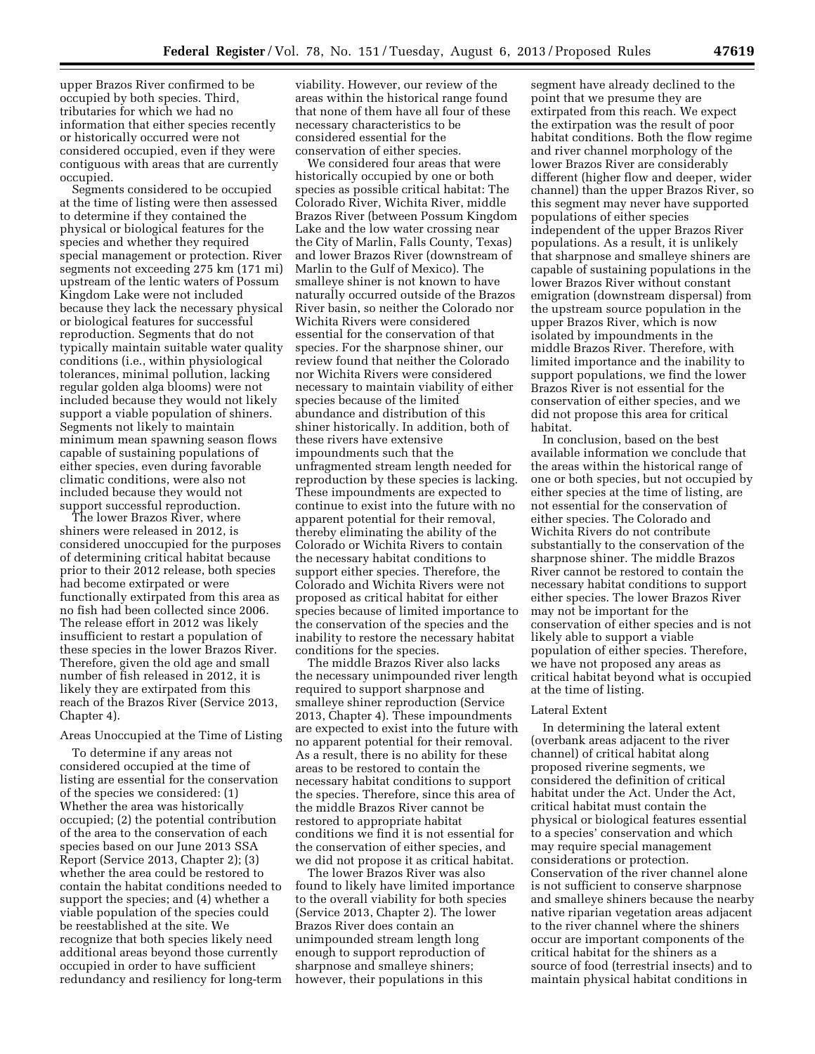upper Brazos River confirmed to be occupied by both species. Third, tributaries for which we had no information that either species recently or historically occurred were not considered occupied, even if they were contiguous with areas that are currently occupied.

Segments considered to be occupied at the time of listing were then assessed to determine if they contained the physical or biological features for the species and whether they required special management or protection. River segments not exceeding 275 km (171 mi) upstream of the lentic waters of Possum Kingdom Lake were not included because they lack the necessary physical or biological features for successful reproduction. Segments that do not typically maintain suitable water quality conditions (i.e., within physiological tolerances, minimal pollution, lacking regular golden alga blooms) were not included because they would not likely support a viable population of shiners. Segments not likely to maintain minimum mean spawning season flows capable of sustaining populations of either species, even during favorable climatic conditions, were also not included because they would not support successful reproduction.

The lower Brazos River, where shiners were released in 2012, is considered unoccupied for the purposes of determining critical habitat because prior to their 2012 release, both species had become extirpated or were functionally extirpated from this area as no fish had been collected since 2006. The release effort in 2012 was likely insufficient to restart a population of these species in the lower Brazos River. Therefore, given the old age and small number of fish released in 2012, it is likely they are extirpated from this reach of the Brazos River (Service 2013, Chapter 4).

#### Areas Unoccupied at the Time of Listing

To determine if any areas not considered occupied at the time of listing are essential for the conservation of the species we considered: (1) Whether the area was historically occupied; (2) the potential contribution of the area to the conservation of each species based on our June 2013 SSA Report (Service 2013, Chapter 2); (3) whether the area could be restored to contain the habitat conditions needed to support the species; and (4) whether a viable population of the species could be reestablished at the site. We recognize that both species likely need additional areas beyond those currently occupied in order to have sufficient redundancy and resiliency for long-term

viability. However, our review of the areas within the historical range found that none of them have all four of these necessary characteristics to be considered essential for the conservation of either species.

We considered four areas that were historically occupied by one or both species as possible critical habitat: The Colorado River, Wichita River, middle Brazos River (between Possum Kingdom Lake and the low water crossing near the City of Marlin, Falls County, Texas) and lower Brazos River (downstream of Marlin to the Gulf of Mexico). The smalleye shiner is not known to have naturally occurred outside of the Brazos River basin, so neither the Colorado nor Wichita Rivers were considered essential for the conservation of that species. For the sharpnose shiner, our review found that neither the Colorado nor Wichita Rivers were considered necessary to maintain viability of either species because of the limited abundance and distribution of this shiner historically. In addition, both of these rivers have extensive impoundments such that the unfragmented stream length needed for reproduction by these species is lacking. These impoundments are expected to continue to exist into the future with no apparent potential for their removal, thereby eliminating the ability of the Colorado or Wichita Rivers to contain the necessary habitat conditions to support either species. Therefore, the Colorado and Wichita Rivers were not proposed as critical habitat for either species because of limited importance to the conservation of the species and the inability to restore the necessary habitat conditions for the species.

The middle Brazos River also lacks the necessary unimpounded river length required to support sharpnose and smalleye shiner reproduction (Service 2013, Chapter 4). These impoundments are expected to exist into the future with no apparent potential for their removal. As a result, there is no ability for these areas to be restored to contain the necessary habitat conditions to support the species. Therefore, since this area of the middle Brazos River cannot be restored to appropriate habitat conditions we find it is not essential for the conservation of either species, and we did not propose it as critical habitat.

The lower Brazos River was also found to likely have limited importance to the overall viability for both species (Service 2013, Chapter 2). The lower Brazos River does contain an unimpounded stream length long enough to support reproduction of sharpnose and smalleye shiners; however, their populations in this

segment have already declined to the point that we presume they are extirpated from this reach. We expect the extirpation was the result of poor habitat conditions. Both the flow regime and river channel morphology of the lower Brazos River are considerably different (higher flow and deeper, wider channel) than the upper Brazos River, so this segment may never have supported populations of either species independent of the upper Brazos River populations. As a result, it is unlikely that sharpnose and smalleye shiners are capable of sustaining populations in the lower Brazos River without constant emigration (downstream dispersal) from the upstream source population in the upper Brazos River, which is now isolated by impoundments in the middle Brazos River. Therefore, with limited importance and the inability to support populations, we find the lower Brazos River is not essential for the conservation of either species, and we did not propose this area for critical habitat.

In conclusion, based on the best available information we conclude that the areas within the historical range of one or both species, but not occupied by either species at the time of listing, are not essential for the conservation of either species. The Colorado and Wichita Rivers do not contribute substantially to the conservation of the sharpnose shiner. The middle Brazos River cannot be restored to contain the necessary habitat conditions to support either species. The lower Brazos River may not be important for the conservation of either species and is not likely able to support a viable population of either species. Therefore, we have not proposed any areas as critical habitat beyond what is occupied at the time of listing.

#### Lateral Extent

In determining the lateral extent (overbank areas adjacent to the river channel) of critical habitat along proposed riverine segments, we considered the definition of critical habitat under the Act. Under the Act, critical habitat must contain the physical or biological features essential to a species' conservation and which may require special management considerations or protection. Conservation of the river channel alone is not sufficient to conserve sharpnose and smalleye shiners because the nearby native riparian vegetation areas adjacent to the river channel where the shiners occur are important components of the critical habitat for the shiners as a source of food (terrestrial insects) and to maintain physical habitat conditions in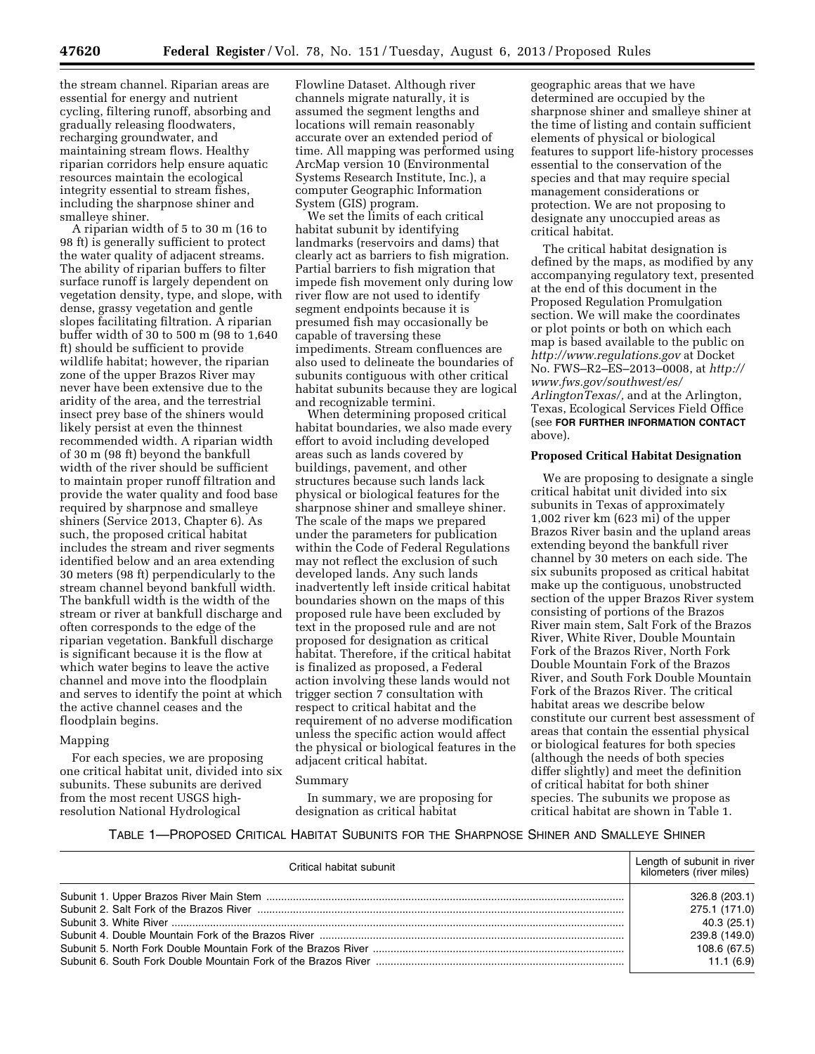the stream channel. Riparian areas are essential for energy and nutrient cycling, filtering runoff, absorbing and gradually releasing floodwaters, recharging groundwater, and maintaining stream flows. Healthy riparian corridors help ensure aquatic resources maintain the ecological integrity essential to stream fishes, including the sharpnose shiner and smalleye shiner.

A riparian width of 5 to 30 m (16 to 98 ft) is generally sufficient to protect the water quality of adjacent streams. The ability of riparian buffers to filter surface runoff is largely dependent on vegetation density, type, and slope, with dense, grassy vegetation and gentle slopes facilitating filtration. A riparian buffer width of 30 to 500 m (98 to 1,640 ft) should be sufficient to provide wildlife habitat; however, the riparian zone of the upper Brazos River may never have been extensive due to the aridity of the area, and the terrestrial insect prey base of the shiners would likely persist at even the thinnest recommended width. A riparian width of 30 m (98 ft) beyond the bankfull width of the river should be sufficient to maintain proper runoff filtration and provide the water quality and food base required by sharpnose and smalleye shiners (Service 2013, Chapter 6). As such, the proposed critical habitat includes the stream and river segments identified below and an area extending 30 meters (98 ft) perpendicularly to the stream channel beyond bankfull width. The bankfull width is the width of the stream or river at bankfull discharge and often corresponds to the edge of the riparian vegetation. Bankfull discharge is significant because it is the flow at which water begins to leave the active channel and move into the floodplain and serves to identify the point at which the active channel ceases and the floodplain begins.

#### Mapping

For each species, we are proposing one critical habitat unit, divided into six subunits. These subunits are derived from the most recent USGS highresolution National Hydrological

Flowline Dataset. Although river channels migrate naturally, it is assumed the segment lengths and locations will remain reasonably accurate over an extended period of time. All mapping was performed using ArcMap version 10 (Environmental Systems Research Institute, Inc.), a computer Geographic Information System (GIS) program.

We set the limits of each critical habitat subunit by identifying landmarks (reservoirs and dams) that clearly act as barriers to fish migration. Partial barriers to fish migration that impede fish movement only during low river flow are not used to identify segment endpoints because it is presumed fish may occasionally be capable of traversing these impediments. Stream confluences are also used to delineate the boundaries of subunits contiguous with other critical habitat subunits because they are logical and recognizable termini.

When determining proposed critical habitat boundaries, we also made every effort to avoid including developed areas such as lands covered by buildings, pavement, and other structures because such lands lack physical or biological features for the sharpnose shiner and smalleye shiner. The scale of the maps we prepared under the parameters for publication within the Code of Federal Regulations may not reflect the exclusion of such developed lands. Any such lands inadvertently left inside critical habitat boundaries shown on the maps of this proposed rule have been excluded by text in the proposed rule and are not proposed for designation as critical habitat. Therefore, if the critical habitat is finalized as proposed, a Federal action involving these lands would not trigger section 7 consultation with respect to critical habitat and the requirement of no adverse modification unless the specific action would affect the physical or biological features in the adjacent critical habitat.

#### Summary

In summary, we are proposing for designation as critical habitat

geographic areas that we have determined are occupied by the sharpnose shiner and smalleye shiner at the time of listing and contain sufficient elements of physical or biological features to support life-history processes essential to the conservation of the species and that may require special management considerations or protection. We are not proposing to designate any unoccupied areas as critical habitat.

The critical habitat designation is defined by the maps, as modified by any accompanying regulatory text, presented at the end of this document in the Proposed Regulation Promulgation section. We will make the coordinates or plot points or both on which each map is based available to the public on *<http://www.regulations.gov>* at Docket No. FWS–R2–ES–2013–0008, at *[http://](http://www.fws.gov/southwest/es/ArlingtonTexas/) [www.fws.gov/southwest/es/](http://www.fws.gov/southwest/es/ArlingtonTexas/)*  [ArlingtonTexas/,](http://www.fws.gov/southwest/es/ArlingtonTexas/) and at the Arlington, Texas, Ecological Services Field Office (see **FOR FURTHER INFORMATION CONTACT** above).

#### **Proposed Critical Habitat Designation**

We are proposing to designate a single critical habitat unit divided into six subunits in Texas of approximately 1,002 river km (623 mi) of the upper Brazos River basin and the upland areas extending beyond the bankfull river channel by 30 meters on each side. The six subunits proposed as critical habitat make up the contiguous, unobstructed section of the upper Brazos River system consisting of portions of the Brazos River main stem, Salt Fork of the Brazos River, White River, Double Mountain Fork of the Brazos River, North Fork Double Mountain Fork of the Brazos River, and South Fork Double Mountain Fork of the Brazos River. The critical habitat areas we describe below constitute our current best assessment of areas that contain the essential physical or biological features for both species (although the needs of both species differ slightly) and meet the definition of critical habitat for both shiner species. The subunits we propose as critical habitat are shown in Table 1.

# TABLE 1—PROPOSED CRITICAL HABITAT SUBUNITS FOR THE SHARPNOSE SHINER AND SMALLEYE SHINER

| Critical habitat subunit | Length of subunit in river<br>kilometers (river miles) |
|--------------------------|--------------------------------------------------------|
|                          | 326.8 (203.1)                                          |
|                          | 275.1 (171.0)                                          |
|                          | 40.3 (25.1)                                            |
|                          | 239.8 (149.0)                                          |
|                          | 108.6 (67.5)                                           |
|                          | 11.1(6.9)                                              |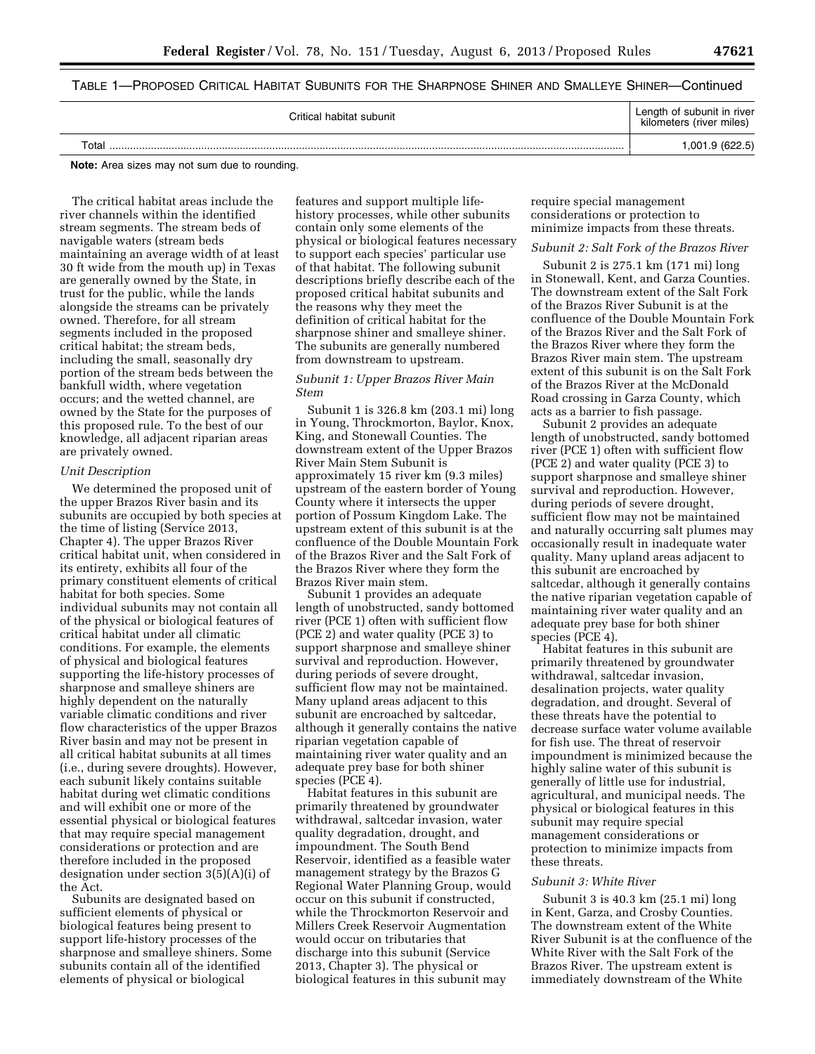# TABLE 1—PROPOSED CRITICAL HABITAT SUBUNITS FOR THE SHARPNOSE SHINER AND SMALLEYE SHINER—Continued

| Critical habitat subunit | Length of subunit in river<br>kilometers (river miles) |
|--------------------------|--------------------------------------------------------|
| $\tau$ otai              | 1,001.9 (622.5)                                        |

**Note:** Area sizes may not sum due to rounding.

The critical habitat areas include the river channels within the identified stream segments. The stream beds of navigable waters (stream beds maintaining an average width of at least 30 ft wide from the mouth up) in Texas are generally owned by the State, in trust for the public, while the lands alongside the streams can be privately owned. Therefore, for all stream segments included in the proposed critical habitat; the stream beds, including the small, seasonally dry portion of the stream beds between the bankfull width, where vegetation occurs; and the wetted channel, are owned by the State for the purposes of this proposed rule. To the best of our knowledge, all adjacent riparian areas are privately owned.

#### *Unit Description*

We determined the proposed unit of the upper Brazos River basin and its subunits are occupied by both species at the time of listing (Service 2013, Chapter 4). The upper Brazos River critical habitat unit, when considered in its entirety, exhibits all four of the primary constituent elements of critical habitat for both species. Some individual subunits may not contain all of the physical or biological features of critical habitat under all climatic conditions. For example, the elements of physical and biological features supporting the life-history processes of sharpnose and smalleye shiners are highly dependent on the naturally variable climatic conditions and river flow characteristics of the upper Brazos River basin and may not be present in all critical habitat subunits at all times (i.e., during severe droughts). However, each subunit likely contains suitable habitat during wet climatic conditions and will exhibit one or more of the essential physical or biological features that may require special management considerations or protection and are therefore included in the proposed designation under section 3(5)(A)(i) of the Act.

Subunits are designated based on sufficient elements of physical or biological features being present to support life-history processes of the sharpnose and smalleye shiners. Some subunits contain all of the identified elements of physical or biological

features and support multiple lifehistory processes, while other subunits contain only some elements of the physical or biological features necessary to support each species' particular use of that habitat. The following subunit descriptions briefly describe each of the proposed critical habitat subunits and the reasons why they meet the definition of critical habitat for the sharpnose shiner and smalleye shiner. The subunits are generally numbered from downstream to upstream.

# *Subunit 1: Upper Brazos River Main Stem*

Subunit 1 is 326.8 km (203.1 mi) long in Young, Throckmorton, Baylor, Knox, King, and Stonewall Counties. The downstream extent of the Upper Brazos River Main Stem Subunit is approximately 15 river km (9.3 miles) upstream of the eastern border of Young County where it intersects the upper portion of Possum Kingdom Lake. The upstream extent of this subunit is at the confluence of the Double Mountain Fork of the Brazos River and the Salt Fork of the Brazos River where they form the Brazos River main stem.

Subunit 1 provides an adequate length of unobstructed, sandy bottomed river (PCE 1) often with sufficient flow (PCE 2) and water quality (PCE 3) to support sharpnose and smalleye shiner survival and reproduction. However, during periods of severe drought, sufficient flow may not be maintained. Many upland areas adjacent to this subunit are encroached by saltcedar, although it generally contains the native riparian vegetation capable of maintaining river water quality and an adequate prey base for both shiner species (PCE 4).

Habitat features in this subunit are primarily threatened by groundwater withdrawal, saltcedar invasion, water quality degradation, drought, and impoundment. The South Bend Reservoir, identified as a feasible water management strategy by the Brazos G Regional Water Planning Group, would occur on this subunit if constructed, while the Throckmorton Reservoir and Millers Creek Reservoir Augmentation would occur on tributaries that discharge into this subunit (Service 2013, Chapter 3). The physical or biological features in this subunit may

require special management considerations or protection to minimize impacts from these threats.

#### *Subunit 2: Salt Fork of the Brazos River*

Subunit 2 is 275.1 km (171 mi) long in Stonewall, Kent, and Garza Counties. The downstream extent of the Salt Fork of the Brazos River Subunit is at the confluence of the Double Mountain Fork of the Brazos River and the Salt Fork of the Brazos River where they form the Brazos River main stem. The upstream extent of this subunit is on the Salt Fork of the Brazos River at the McDonald Road crossing in Garza County, which acts as a barrier to fish passage.

Subunit 2 provides an adequate length of unobstructed, sandy bottomed river (PCE 1) often with sufficient flow (PCE 2) and water quality (PCE 3) to support sharpnose and smalleye shiner survival and reproduction. However, during periods of severe drought, sufficient flow may not be maintained and naturally occurring salt plumes may occasionally result in inadequate water quality. Many upland areas adjacent to this subunit are encroached by saltcedar, although it generally contains the native riparian vegetation capable of maintaining river water quality and an adequate prey base for both shiner species (PCE 4).

Habitat features in this subunit are primarily threatened by groundwater withdrawal, saltcedar invasion, desalination projects, water quality degradation, and drought. Several of these threats have the potential to decrease surface water volume available for fish use. The threat of reservoir impoundment is minimized because the highly saline water of this subunit is generally of little use for industrial, agricultural, and municipal needs. The physical or biological features in this subunit may require special management considerations or protection to minimize impacts from these threats.

#### *Subunit 3: White River*

Subunit 3 is 40.3 km (25.1 mi) long in Kent, Garza, and Crosby Counties. The downstream extent of the White River Subunit is at the confluence of the White River with the Salt Fork of the Brazos River. The upstream extent is immediately downstream of the White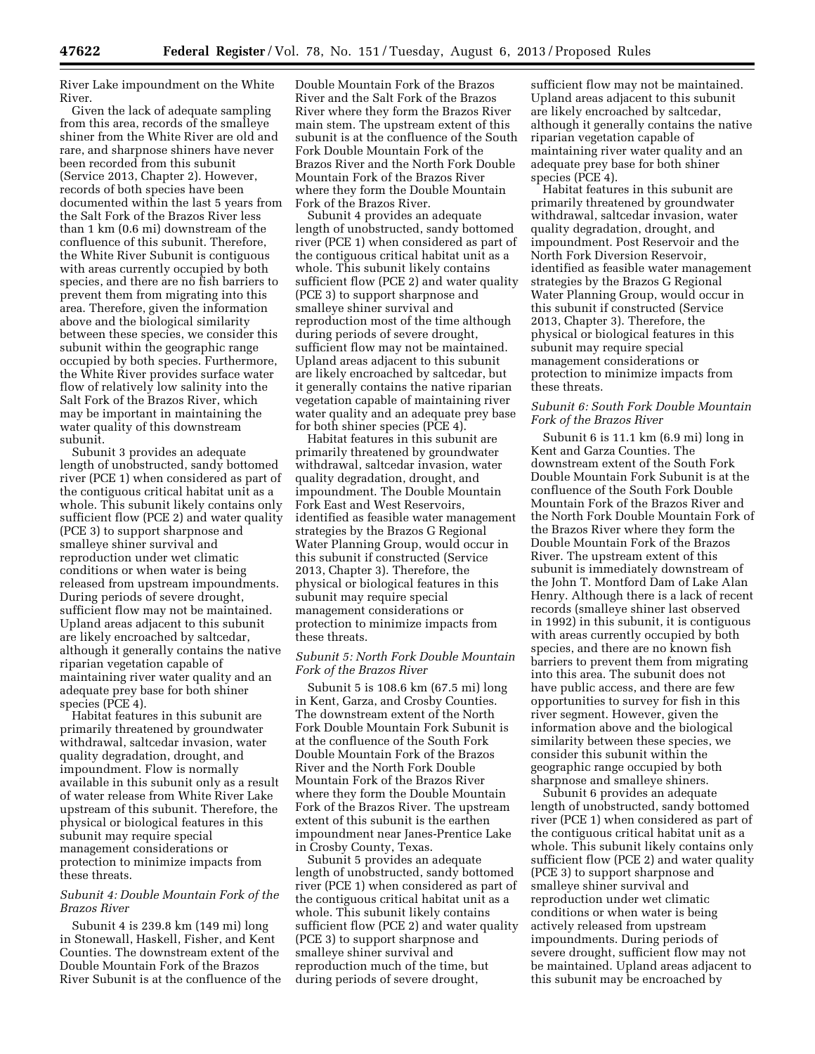River Lake impoundment on the White River.

Given the lack of adequate sampling from this area, records of the smalleye shiner from the White River are old and rare, and sharpnose shiners have never been recorded from this subunit (Service 2013, Chapter 2). However, records of both species have been documented within the last 5 years from the Salt Fork of the Brazos River less than 1 km (0.6 mi) downstream of the confluence of this subunit. Therefore, the White River Subunit is contiguous with areas currently occupied by both species, and there are no fish barriers to prevent them from migrating into this area. Therefore, given the information above and the biological similarity between these species, we consider this subunit within the geographic range occupied by both species. Furthermore, the White River provides surface water flow of relatively low salinity into the Salt Fork of the Brazos River, which may be important in maintaining the water quality of this downstream subunit.

Subunit 3 provides an adequate length of unobstructed, sandy bottomed river (PCE 1) when considered as part of the contiguous critical habitat unit as a whole. This subunit likely contains only sufficient flow (PCE 2) and water quality (PCE 3) to support sharpnose and smalleye shiner survival and reproduction under wet climatic conditions or when water is being released from upstream impoundments. During periods of severe drought, sufficient flow may not be maintained. Upland areas adjacent to this subunit are likely encroached by saltcedar, although it generally contains the native riparian vegetation capable of maintaining river water quality and an adequate prey base for both shiner species (PCE 4).

Habitat features in this subunit are primarily threatened by groundwater withdrawal, saltcedar invasion, water quality degradation, drought, and impoundment. Flow is normally available in this subunit only as a result of water release from White River Lake upstream of this subunit. Therefore, the physical or biological features in this subunit may require special management considerations or protection to minimize impacts from these threats.

#### *Subunit 4: Double Mountain Fork of the Brazos River*

Subunit 4 is 239.8 km (149 mi) long in Stonewall, Haskell, Fisher, and Kent Counties. The downstream extent of the Double Mountain Fork of the Brazos River Subunit is at the confluence of the

Double Mountain Fork of the Brazos River and the Salt Fork of the Brazos River where they form the Brazos River main stem. The upstream extent of this subunit is at the confluence of the South Fork Double Mountain Fork of the Brazos River and the North Fork Double Mountain Fork of the Brazos River where they form the Double Mountain Fork of the Brazos River.

Subunit 4 provides an adequate length of unobstructed, sandy bottomed river (PCE 1) when considered as part of the contiguous critical habitat unit as a whole. This subunit likely contains sufficient flow (PCE 2) and water quality (PCE 3) to support sharpnose and smalleye shiner survival and reproduction most of the time although during periods of severe drought, sufficient flow may not be maintained. Upland areas adjacent to this subunit are likely encroached by saltcedar, but it generally contains the native riparian vegetation capable of maintaining river water quality and an adequate prey base for both shiner species (PCE 4).

Habitat features in this subunit are primarily threatened by groundwater withdrawal, saltcedar invasion, water quality degradation, drought, and impoundment. The Double Mountain Fork East and West Reservoirs, identified as feasible water management strategies by the Brazos G Regional Water Planning Group, would occur in this subunit if constructed (Service 2013, Chapter 3). Therefore, the physical or biological features in this subunit may require special management considerations or protection to minimize impacts from these threats.

# *Subunit 5: North Fork Double Mountain Fork of the Brazos River*

Subunit 5 is 108.6 km (67.5 mi) long in Kent, Garza, and Crosby Counties. The downstream extent of the North Fork Double Mountain Fork Subunit is at the confluence of the South Fork Double Mountain Fork of the Brazos River and the North Fork Double Mountain Fork of the Brazos River where they form the Double Mountain Fork of the Brazos River. The upstream extent of this subunit is the earthen impoundment near Janes-Prentice Lake in Crosby County, Texas.

Subunit 5 provides an adequate length of unobstructed, sandy bottomed river (PCE 1) when considered as part of the contiguous critical habitat unit as a whole. This subunit likely contains sufficient flow (PCE 2) and water quality (PCE 3) to support sharpnose and smalleye shiner survival and reproduction much of the time, but during periods of severe drought,

sufficient flow may not be maintained. Upland areas adjacent to this subunit are likely encroached by saltcedar, although it generally contains the native riparian vegetation capable of maintaining river water quality and an adequate prey base for both shiner species (PCE 4).

Habitat features in this subunit are primarily threatened by groundwater withdrawal, saltcedar invasion, water quality degradation, drought, and impoundment. Post Reservoir and the North Fork Diversion Reservoir, identified as feasible water management strategies by the Brazos G Regional Water Planning Group, would occur in this subunit if constructed (Service 2013, Chapter 3). Therefore, the physical or biological features in this subunit may require special management considerations or protection to minimize impacts from these threats.

# *Subunit 6: South Fork Double Mountain Fork of the Brazos River*

Subunit 6 is 11.1 km (6.9 mi) long in Kent and Garza Counties. The downstream extent of the South Fork Double Mountain Fork Subunit is at the confluence of the South Fork Double Mountain Fork of the Brazos River and the North Fork Double Mountain Fork of the Brazos River where they form the Double Mountain Fork of the Brazos River. The upstream extent of this subunit is immediately downstream of the John T. Montford Dam of Lake Alan Henry. Although there is a lack of recent records (smalleye shiner last observed in 1992) in this subunit, it is contiguous with areas currently occupied by both species, and there are no known fish barriers to prevent them from migrating into this area. The subunit does not have public access, and there are few opportunities to survey for fish in this river segment. However, given the information above and the biological similarity between these species, we consider this subunit within the geographic range occupied by both sharpnose and smalleye shiners.

Subunit 6 provides an adequate length of unobstructed, sandy bottomed river (PCE 1) when considered as part of the contiguous critical habitat unit as a whole. This subunit likely contains only sufficient flow (PCE 2) and water quality (PCE 3) to support sharpnose and smalleye shiner survival and reproduction under wet climatic conditions or when water is being actively released from upstream impoundments. During periods of severe drought, sufficient flow may not be maintained. Upland areas adjacent to this subunit may be encroached by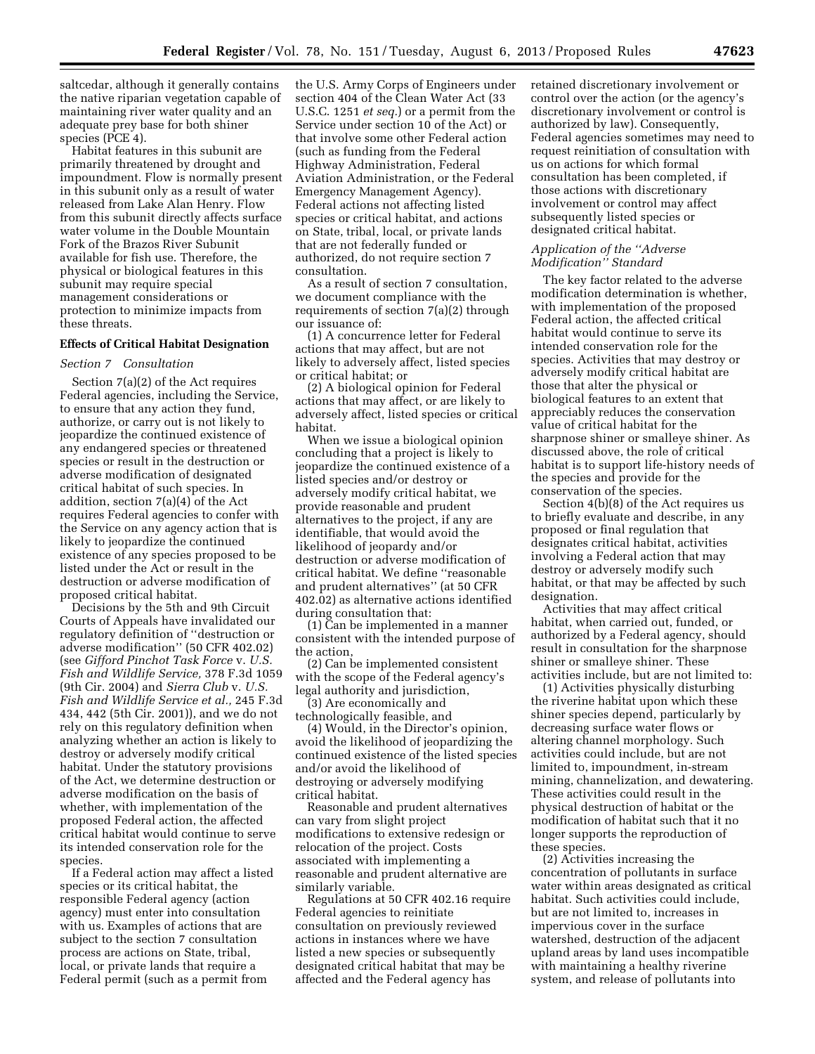saltcedar, although it generally contains the native riparian vegetation capable of maintaining river water quality and an adequate prey base for both shiner species (PCE 4).

Habitat features in this subunit are primarily threatened by drought and impoundment. Flow is normally present in this subunit only as a result of water released from Lake Alan Henry. Flow from this subunit directly affects surface water volume in the Double Mountain Fork of the Brazos River Subunit available for fish use. Therefore, the physical or biological features in this subunit may require special management considerations or protection to minimize impacts from these threats.

# **Effects of Critical Habitat Designation**

#### *Section 7 Consultation*

Section 7(a)(2) of the Act requires Federal agencies, including the Service, to ensure that any action they fund, authorize, or carry out is not likely to jeopardize the continued existence of any endangered species or threatened species or result in the destruction or adverse modification of designated critical habitat of such species. In addition, section 7(a)(4) of the Act requires Federal agencies to confer with the Service on any agency action that is likely to jeopardize the continued existence of any species proposed to be listed under the Act or result in the destruction or adverse modification of proposed critical habitat.

Decisions by the 5th and 9th Circuit Courts of Appeals have invalidated our regulatory definition of ''destruction or adverse modification'' (50 CFR 402.02) (see *Gifford Pinchot Task Force* v. *U.S. Fish and Wildlife Service,* 378 F.3d 1059 (9th Cir. 2004) and *Sierra Club* v. *U.S. Fish and Wildlife Service et al.,* 245 F.3d 434, 442 (5th Cir. 2001)), and we do not rely on this regulatory definition when analyzing whether an action is likely to destroy or adversely modify critical habitat. Under the statutory provisions of the Act, we determine destruction or adverse modification on the basis of whether, with implementation of the proposed Federal action, the affected critical habitat would continue to serve its intended conservation role for the species.

If a Federal action may affect a listed species or its critical habitat, the responsible Federal agency (action agency) must enter into consultation with us. Examples of actions that are subject to the section 7 consultation process are actions on State, tribal, local, or private lands that require a Federal permit (such as a permit from

the U.S. Army Corps of Engineers under section 404 of the Clean Water Act (33 U.S.C. 1251 *et seq.*) or a permit from the Service under section 10 of the Act) or that involve some other Federal action (such as funding from the Federal Highway Administration, Federal Aviation Administration, or the Federal Emergency Management Agency). Federal actions not affecting listed species or critical habitat, and actions on State, tribal, local, or private lands that are not federally funded or authorized, do not require section 7 consultation.

As a result of section 7 consultation, we document compliance with the requirements of section 7(a)(2) through our issuance of:

(1) A concurrence letter for Federal actions that may affect, but are not likely to adversely affect, listed species or critical habitat; or

(2) A biological opinion for Federal actions that may affect, or are likely to adversely affect, listed species or critical habitat.

When we issue a biological opinion concluding that a project is likely to jeopardize the continued existence of a listed species and/or destroy or adversely modify critical habitat, we provide reasonable and prudent alternatives to the project, if any are identifiable, that would avoid the likelihood of jeopardy and/or destruction or adverse modification of critical habitat. We define ''reasonable and prudent alternatives'' (at 50 CFR 402.02) as alternative actions identified during consultation that:

(1) Can be implemented in a manner consistent with the intended purpose of the action,

(2) Can be implemented consistent with the scope of the Federal agency's legal authority and jurisdiction,

(3) Are economically and technologically feasible, and

(4) Would, in the Director's opinion, avoid the likelihood of jeopardizing the continued existence of the listed species and/or avoid the likelihood of destroying or adversely modifying critical habitat.

Reasonable and prudent alternatives can vary from slight project modifications to extensive redesign or relocation of the project. Costs associated with implementing a reasonable and prudent alternative are similarly variable.

Regulations at 50 CFR 402.16 require Federal agencies to reinitiate consultation on previously reviewed actions in instances where we have listed a new species or subsequently designated critical habitat that may be affected and the Federal agency has

retained discretionary involvement or control over the action (or the agency's discretionary involvement or control is authorized by law). Consequently, Federal agencies sometimes may need to request reinitiation of consultation with us on actions for which formal consultation has been completed, if those actions with discretionary involvement or control may affect subsequently listed species or designated critical habitat.

# *Application of the ''Adverse Modification'' Standard*

The key factor related to the adverse modification determination is whether, with implementation of the proposed Federal action, the affected critical habitat would continue to serve its intended conservation role for the species. Activities that may destroy or adversely modify critical habitat are those that alter the physical or biological features to an extent that appreciably reduces the conservation value of critical habitat for the sharpnose shiner or smalleye shiner. As discussed above, the role of critical habitat is to support life-history needs of the species and provide for the conservation of the species.

Section 4(b)(8) of the Act requires us to briefly evaluate and describe, in any proposed or final regulation that designates critical habitat, activities involving a Federal action that may destroy or adversely modify such habitat, or that may be affected by such designation.

Activities that may affect critical habitat, when carried out, funded, or authorized by a Federal agency, should result in consultation for the sharpnose shiner or smalleye shiner. These activities include, but are not limited to:

(1) Activities physically disturbing the riverine habitat upon which these shiner species depend, particularly by decreasing surface water flows or altering channel morphology. Such activities could include, but are not limited to, impoundment, in-stream mining, channelization, and dewatering. These activities could result in the physical destruction of habitat or the modification of habitat such that it no longer supports the reproduction of these species.

(2) Activities increasing the concentration of pollutants in surface water within areas designated as critical habitat. Such activities could include, but are not limited to, increases in impervious cover in the surface watershed, destruction of the adjacent upland areas by land uses incompatible with maintaining a healthy riverine system, and release of pollutants into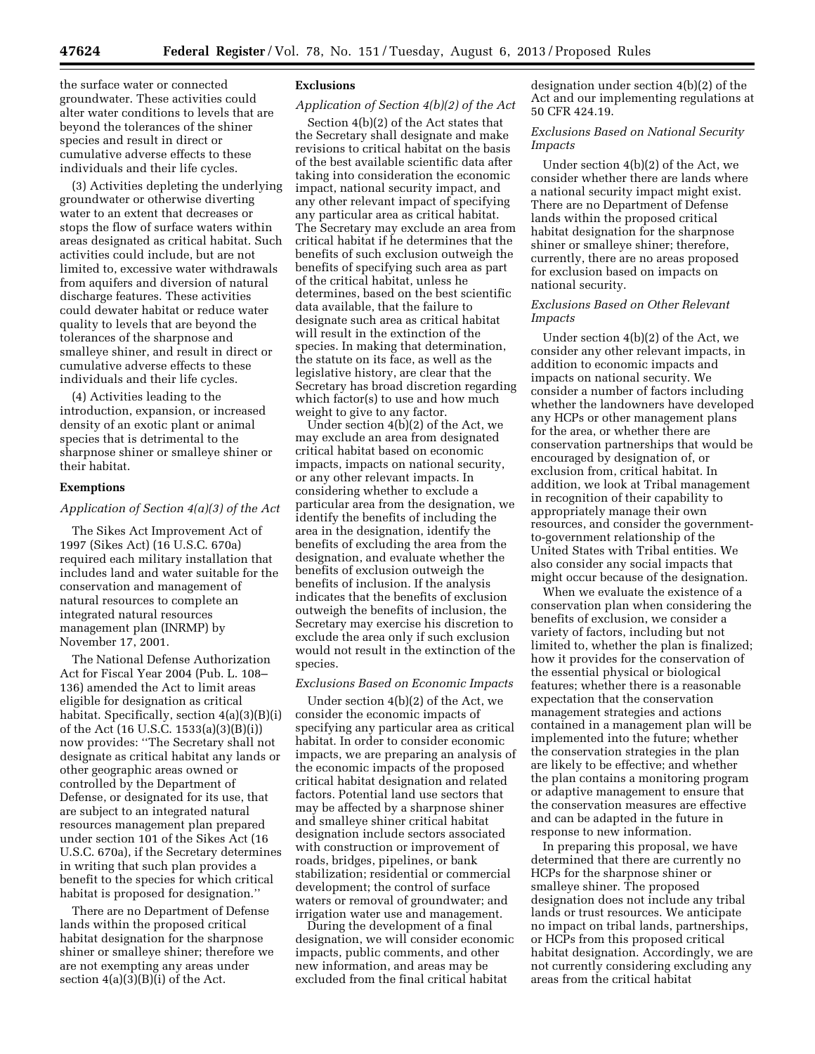the surface water or connected groundwater. These activities could alter water conditions to levels that are beyond the tolerances of the shiner species and result in direct or cumulative adverse effects to these

individuals and their life cycles. (3) Activities depleting the underlying groundwater or otherwise diverting water to an extent that decreases or stops the flow of surface waters within areas designated as critical habitat. Such activities could include, but are not limited to, excessive water withdrawals from aquifers and diversion of natural discharge features. These activities could dewater habitat or reduce water quality to levels that are beyond the tolerances of the sharpnose and smalleye shiner, and result in direct or cumulative adverse effects to these individuals and their life cycles.

(4) Activities leading to the introduction, expansion, or increased density of an exotic plant or animal species that is detrimental to the sharpnose shiner or smalleye shiner or their habitat.

#### **Exemptions**

# *Application of Section 4(a)(3) of the Act*

The Sikes Act Improvement Act of 1997 (Sikes Act) (16 U.S.C. 670a) required each military installation that includes land and water suitable for the conservation and management of natural resources to complete an integrated natural resources management plan (INRMP) by November 17, 2001.

The National Defense Authorization Act for Fiscal Year 2004 (Pub. L. 108– 136) amended the Act to limit areas eligible for designation as critical habitat. Specifically, section 4(a)(3)(B)(i) of the Act (16 U.S.C. 1533(a)(3)(B)(i)) now provides: ''The Secretary shall not designate as critical habitat any lands or other geographic areas owned or controlled by the Department of Defense, or designated for its use, that are subject to an integrated natural resources management plan prepared under section 101 of the Sikes Act (16 U.S.C. 670a), if the Secretary determines in writing that such plan provides a benefit to the species for which critical habitat is proposed for designation.''

There are no Department of Defense lands within the proposed critical habitat designation for the sharpnose shiner or smalleye shiner; therefore we are not exempting any areas under section  $4(a)(3)(B)(i)$  of the Act.

# **Exclusions**

# *Application of Section 4(b)(2) of the Act*

Section 4(b)(2) of the Act states that the Secretary shall designate and make revisions to critical habitat on the basis of the best available scientific data after taking into consideration the economic impact, national security impact, and any other relevant impact of specifying any particular area as critical habitat. The Secretary may exclude an area from critical habitat if he determines that the benefits of such exclusion outweigh the benefits of specifying such area as part of the critical habitat, unless he determines, based on the best scientific data available, that the failure to designate such area as critical habitat will result in the extinction of the species. In making that determination, the statute on its face, as well as the legislative history, are clear that the Secretary has broad discretion regarding which factor(s) to use and how much weight to give to any factor.

Under section 4(b)(2) of the Act, we may exclude an area from designated critical habitat based on economic impacts, impacts on national security, or any other relevant impacts. In considering whether to exclude a particular area from the designation, we identify the benefits of including the area in the designation, identify the benefits of excluding the area from the designation, and evaluate whether the benefits of exclusion outweigh the benefits of inclusion. If the analysis indicates that the benefits of exclusion outweigh the benefits of inclusion, the Secretary may exercise his discretion to exclude the area only if such exclusion would not result in the extinction of the species.

#### *Exclusions Based on Economic Impacts*

Under section 4(b)(2) of the Act, we consider the economic impacts of specifying any particular area as critical habitat. In order to consider economic impacts, we are preparing an analysis of the economic impacts of the proposed critical habitat designation and related factors. Potential land use sectors that may be affected by a sharpnose shiner and smalleye shiner critical habitat designation include sectors associated with construction or improvement of roads, bridges, pipelines, or bank stabilization; residential or commercial development; the control of surface waters or removal of groundwater; and irrigation water use and management.

During the development of a final designation, we will consider economic impacts, public comments, and other new information, and areas may be excluded from the final critical habitat

designation under section 4(b)(2) of the Act and our implementing regulations at 50 CFR 424.19.

*Exclusions Based on National Security Impacts* 

Under section 4(b)(2) of the Act, we consider whether there are lands where a national security impact might exist. There are no Department of Defense lands within the proposed critical habitat designation for the sharpnose shiner or smalleye shiner; therefore, currently, there are no areas proposed for exclusion based on impacts on national security.

# *Exclusions Based on Other Relevant Impacts*

Under section 4(b)(2) of the Act, we consider any other relevant impacts, in addition to economic impacts and impacts on national security. We consider a number of factors including whether the landowners have developed any HCPs or other management plans for the area, or whether there are conservation partnerships that would be encouraged by designation of, or exclusion from, critical habitat. In addition, we look at Tribal management in recognition of their capability to appropriately manage their own resources, and consider the governmentto-government relationship of the United States with Tribal entities. We also consider any social impacts that might occur because of the designation.

When we evaluate the existence of a conservation plan when considering the benefits of exclusion, we consider a variety of factors, including but not limited to, whether the plan is finalized; how it provides for the conservation of the essential physical or biological features; whether there is a reasonable expectation that the conservation management strategies and actions contained in a management plan will be implemented into the future; whether the conservation strategies in the plan are likely to be effective; and whether the plan contains a monitoring program or adaptive management to ensure that the conservation measures are effective and can be adapted in the future in response to new information.

In preparing this proposal, we have determined that there are currently no HCPs for the sharpnose shiner or smalleye shiner. The proposed designation does not include any tribal lands or trust resources. We anticipate no impact on tribal lands, partnerships, or HCPs from this proposed critical habitat designation. Accordingly, we are not currently considering excluding any areas from the critical habitat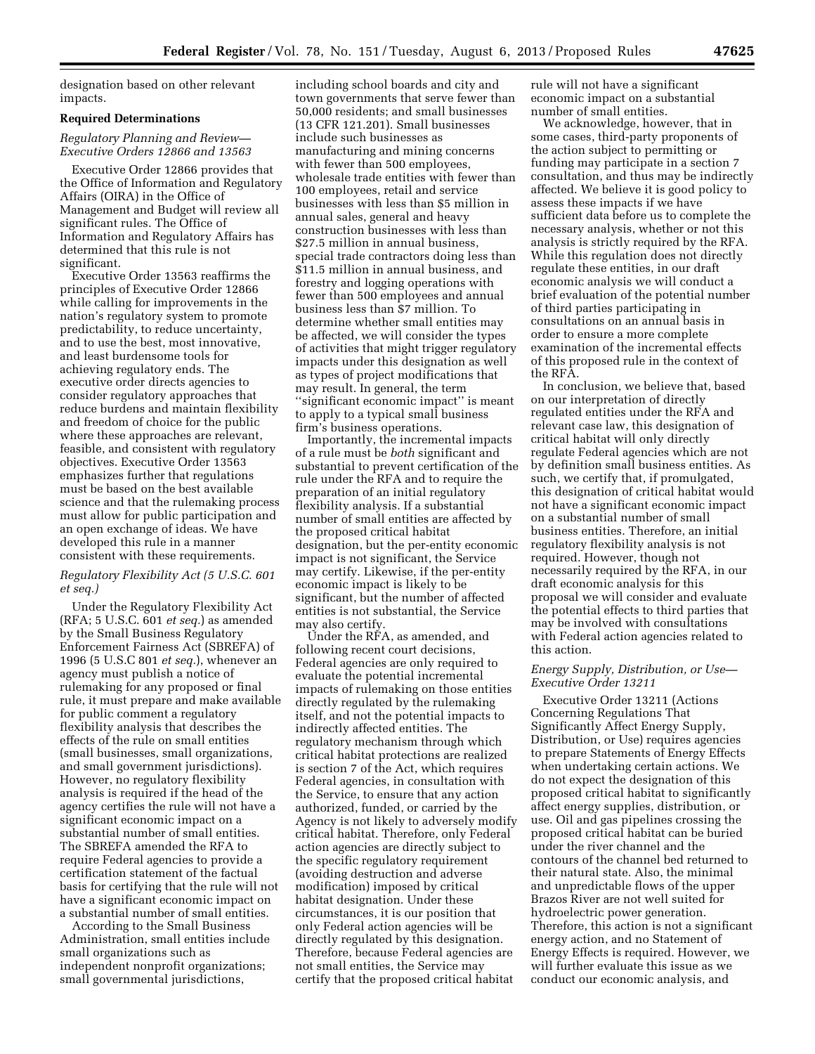designation based on other relevant impacts.

# **Required Determinations**

# *Regulatory Planning and Review— Executive Orders 12866 and 13563*

Executive Order 12866 provides that the Office of Information and Regulatory Affairs (OIRA) in the Office of Management and Budget will review all significant rules. The Office of Information and Regulatory Affairs has determined that this rule is not significant.

Executive Order 13563 reaffirms the principles of Executive Order 12866 while calling for improvements in the nation's regulatory system to promote predictability, to reduce uncertainty, and to use the best, most innovative, and least burdensome tools for achieving regulatory ends. The executive order directs agencies to consider regulatory approaches that reduce burdens and maintain flexibility and freedom of choice for the public where these approaches are relevant, feasible, and consistent with regulatory objectives. Executive Order 13563 emphasizes further that regulations must be based on the best available science and that the rulemaking process must allow for public participation and an open exchange of ideas. We have developed this rule in a manner consistent with these requirements.

# *Regulatory Flexibility Act (5 U.S.C. 601 et seq.)*

Under the Regulatory Flexibility Act (RFA; 5 U.S.C. 601 *et seq.*) as amended by the Small Business Regulatory Enforcement Fairness Act (SBREFA) of 1996 (5 U.S.C 801 *et seq.*), whenever an agency must publish a notice of rulemaking for any proposed or final rule, it must prepare and make available for public comment a regulatory flexibility analysis that describes the effects of the rule on small entities (small businesses, small organizations, and small government jurisdictions). However, no regulatory flexibility analysis is required if the head of the agency certifies the rule will not have a significant economic impact on a substantial number of small entities. The SBREFA amended the RFA to require Federal agencies to provide a certification statement of the factual basis for certifying that the rule will not have a significant economic impact on a substantial number of small entities.

According to the Small Business Administration, small entities include small organizations such as independent nonprofit organizations; small governmental jurisdictions,

including school boards and city and town governments that serve fewer than 50,000 residents; and small businesses (13 CFR 121.201). Small businesses include such businesses as manufacturing and mining concerns with fewer than 500 employees, wholesale trade entities with fewer than 100 employees, retail and service businesses with less than \$5 million in annual sales, general and heavy construction businesses with less than \$27.5 million in annual business, special trade contractors doing less than \$11.5 million in annual business, and forestry and logging operations with fewer than 500 employees and annual business less than \$7 million. To determine whether small entities may be affected, we will consider the types of activities that might trigger regulatory impacts under this designation as well as types of project modifications that may result. In general, the term ''significant economic impact'' is meant to apply to a typical small business firm's business operations.

Importantly, the incremental impacts of a rule must be *both* significant and substantial to prevent certification of the rule under the RFA and to require the preparation of an initial regulatory flexibility analysis. If a substantial number of small entities are affected by the proposed critical habitat designation, but the per-entity economic impact is not significant, the Service may certify. Likewise, if the per-entity economic impact is likely to be significant, but the number of affected entities is not substantial, the Service may also certify.

Under the RFA, as amended, and following recent court decisions, Federal agencies are only required to evaluate the potential incremental impacts of rulemaking on those entities directly regulated by the rulemaking itself, and not the potential impacts to indirectly affected entities. The regulatory mechanism through which critical habitat protections are realized is section 7 of the Act, which requires Federal agencies, in consultation with the Service, to ensure that any action authorized, funded, or carried by the Agency is not likely to adversely modify critical habitat. Therefore, only Federal action agencies are directly subject to the specific regulatory requirement (avoiding destruction and adverse modification) imposed by critical habitat designation. Under these circumstances, it is our position that only Federal action agencies will be directly regulated by this designation. Therefore, because Federal agencies are not small entities, the Service may certify that the proposed critical habitat

rule will not have a significant economic impact on a substantial number of small entities.

We acknowledge, however, that in some cases, third-party proponents of the action subject to permitting or funding may participate in a section 7 consultation, and thus may be indirectly affected. We believe it is good policy to assess these impacts if we have sufficient data before us to complete the necessary analysis, whether or not this analysis is strictly required by the RFA. While this regulation does not directly regulate these entities, in our draft economic analysis we will conduct a brief evaluation of the potential number of third parties participating in consultations on an annual basis in order to ensure a more complete examination of the incremental effects of this proposed rule in the context of the RFA.

In conclusion, we believe that, based on our interpretation of directly regulated entities under the RFA and relevant case law, this designation of critical habitat will only directly regulate Federal agencies which are not by definition small business entities. As such, we certify that, if promulgated, this designation of critical habitat would not have a significant economic impact on a substantial number of small business entities. Therefore, an initial regulatory flexibility analysis is not required. However, though not necessarily required by the RFA, in our draft economic analysis for this proposal we will consider and evaluate the potential effects to third parties that may be involved with consultations with Federal action agencies related to this action.

### *Energy Supply, Distribution, or Use— Executive Order 13211*

Executive Order 13211 (Actions Concerning Regulations That Significantly Affect Energy Supply, Distribution, or Use) requires agencies to prepare Statements of Energy Effects when undertaking certain actions. We do not expect the designation of this proposed critical habitat to significantly affect energy supplies, distribution, or use. Oil and gas pipelines crossing the proposed critical habitat can be buried under the river channel and the contours of the channel bed returned to their natural state. Also, the minimal and unpredictable flows of the upper Brazos River are not well suited for hydroelectric power generation. Therefore, this action is not a significant energy action, and no Statement of Energy Effects is required. However, we will further evaluate this issue as we conduct our economic analysis, and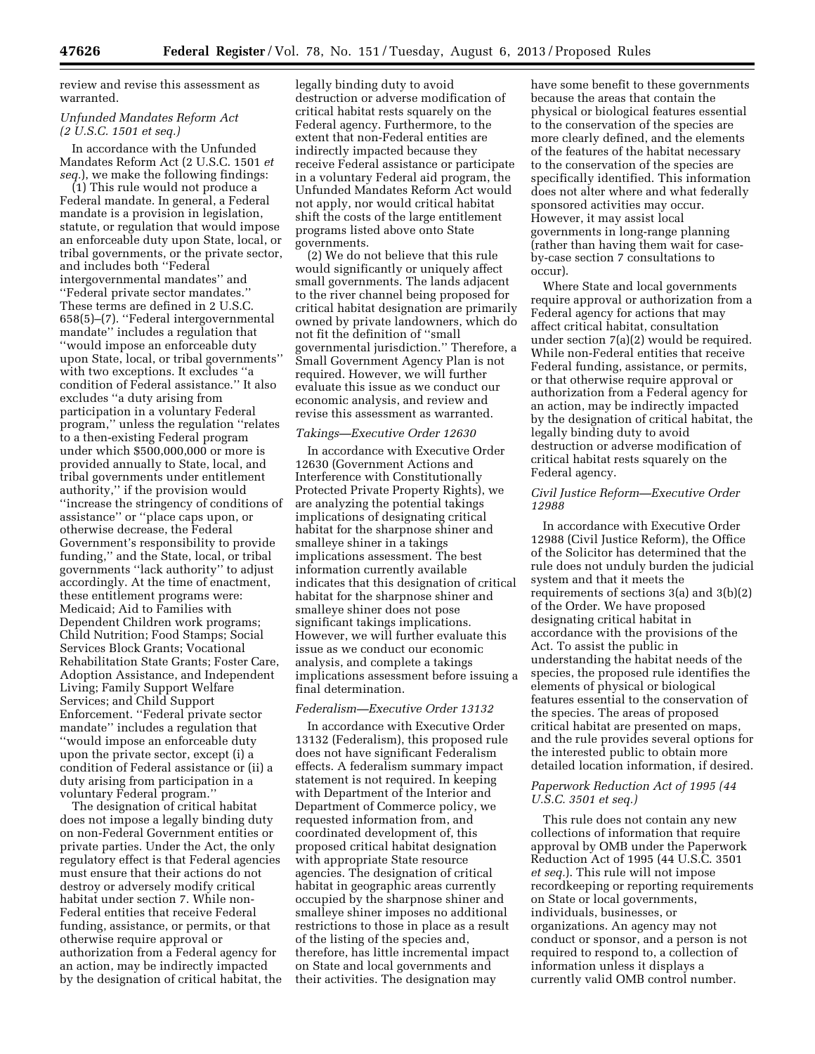review and revise this assessment as warranted.

### *Unfunded Mandates Reform Act (2 U.S.C. 1501 et seq.)*

In accordance with the Unfunded Mandates Reform Act (2 U.S.C. 1501 *et seq.*), we make the following findings:

(1) This rule would not produce a Federal mandate. In general, a Federal mandate is a provision in legislation, statute, or regulation that would impose an enforceable duty upon State, local, or tribal governments, or the private sector, and includes both ''Federal intergovernmental mandates'' and ''Federal private sector mandates.'' These terms are defined in 2 U.S.C. 658(5)–(7). ''Federal intergovernmental mandate'' includes a regulation that ''would impose an enforceable duty upon State, local, or tribal governments'' with two exceptions. It excludes ''a condition of Federal assistance.'' It also excludes ''a duty arising from participation in a voluntary Federal program,'' unless the regulation ''relates to a then-existing Federal program under which \$500,000,000 or more is provided annually to State, local, and tribal governments under entitlement authority,'' if the provision would ''increase the stringency of conditions of assistance'' or ''place caps upon, or otherwise decrease, the Federal Government's responsibility to provide funding,'' and the State, local, or tribal governments ''lack authority'' to adjust accordingly. At the time of enactment, these entitlement programs were: Medicaid; Aid to Families with Dependent Children work programs; Child Nutrition; Food Stamps; Social Services Block Grants; Vocational Rehabilitation State Grants; Foster Care, Adoption Assistance, and Independent Living; Family Support Welfare Services; and Child Support Enforcement. ''Federal private sector mandate'' includes a regulation that ''would impose an enforceable duty upon the private sector, except (i) a condition of Federal assistance or (ii) a duty arising from participation in a voluntary Federal program.''

The designation of critical habitat does not impose a legally binding duty on non-Federal Government entities or private parties. Under the Act, the only regulatory effect is that Federal agencies must ensure that their actions do not destroy or adversely modify critical habitat under section 7. While non-Federal entities that receive Federal funding, assistance, or permits, or that otherwise require approval or authorization from a Federal agency for an action, may be indirectly impacted by the designation of critical habitat, the

legally binding duty to avoid destruction or adverse modification of critical habitat rests squarely on the Federal agency. Furthermore, to the extent that non-Federal entities are indirectly impacted because they receive Federal assistance or participate in a voluntary Federal aid program, the Unfunded Mandates Reform Act would not apply, nor would critical habitat shift the costs of the large entitlement programs listed above onto State governments.

(2) We do not believe that this rule would significantly or uniquely affect small governments. The lands adjacent to the river channel being proposed for critical habitat designation are primarily owned by private landowners, which do not fit the definition of ''small governmental jurisdiction.'' Therefore, a Small Government Agency Plan is not required. However, we will further evaluate this issue as we conduct our economic analysis, and review and revise this assessment as warranted.

# *Takings—Executive Order 12630*

In accordance with Executive Order 12630 (Government Actions and Interference with Constitutionally Protected Private Property Rights), we are analyzing the potential takings implications of designating critical habitat for the sharpnose shiner and smalleye shiner in a takings implications assessment. The best information currently available indicates that this designation of critical habitat for the sharpnose shiner and smalleye shiner does not pose significant takings implications. However, we will further evaluate this issue as we conduct our economic analysis, and complete a takings implications assessment before issuing a final determination.

# *Federalism—Executive Order 13132*

In accordance with Executive Order 13132 (Federalism), this proposed rule does not have significant Federalism effects. A federalism summary impact statement is not required. In keeping with Department of the Interior and Department of Commerce policy, we requested information from, and coordinated development of, this proposed critical habitat designation with appropriate State resource agencies. The designation of critical habitat in geographic areas currently occupied by the sharpnose shiner and smalleye shiner imposes no additional restrictions to those in place as a result of the listing of the species and, therefore, has little incremental impact on State and local governments and their activities. The designation may

have some benefit to these governments because the areas that contain the physical or biological features essential to the conservation of the species are more clearly defined, and the elements of the features of the habitat necessary to the conservation of the species are specifically identified. This information does not alter where and what federally sponsored activities may occur. However, it may assist local governments in long-range planning (rather than having them wait for caseby-case section 7 consultations to occur).

Where State and local governments require approval or authorization from a Federal agency for actions that may affect critical habitat, consultation under section 7(a)(2) would be required. While non-Federal entities that receive Federal funding, assistance, or permits, or that otherwise require approval or authorization from a Federal agency for an action, may be indirectly impacted by the designation of critical habitat, the legally binding duty to avoid destruction or adverse modification of critical habitat rests squarely on the Federal agency.

# *Civil Justice Reform—Executive Order 12988*

In accordance with Executive Order 12988 (Civil Justice Reform), the Office of the Solicitor has determined that the rule does not unduly burden the judicial system and that it meets the requirements of sections 3(a) and 3(b)(2) of the Order. We have proposed designating critical habitat in accordance with the provisions of the Act. To assist the public in understanding the habitat needs of the species, the proposed rule identifies the elements of physical or biological features essential to the conservation of the species. The areas of proposed critical habitat are presented on maps, and the rule provides several options for the interested public to obtain more detailed location information, if desired.

# *Paperwork Reduction Act of 1995 (44 U.S.C. 3501 et seq.)*

This rule does not contain any new collections of information that require approval by OMB under the Paperwork Reduction Act of 1995 (44 U.S.C. 3501 *et seq.*). This rule will not impose recordkeeping or reporting requirements on State or local governments, individuals, businesses, or organizations. An agency may not conduct or sponsor, and a person is not required to respond to, a collection of information unless it displays a currently valid OMB control number.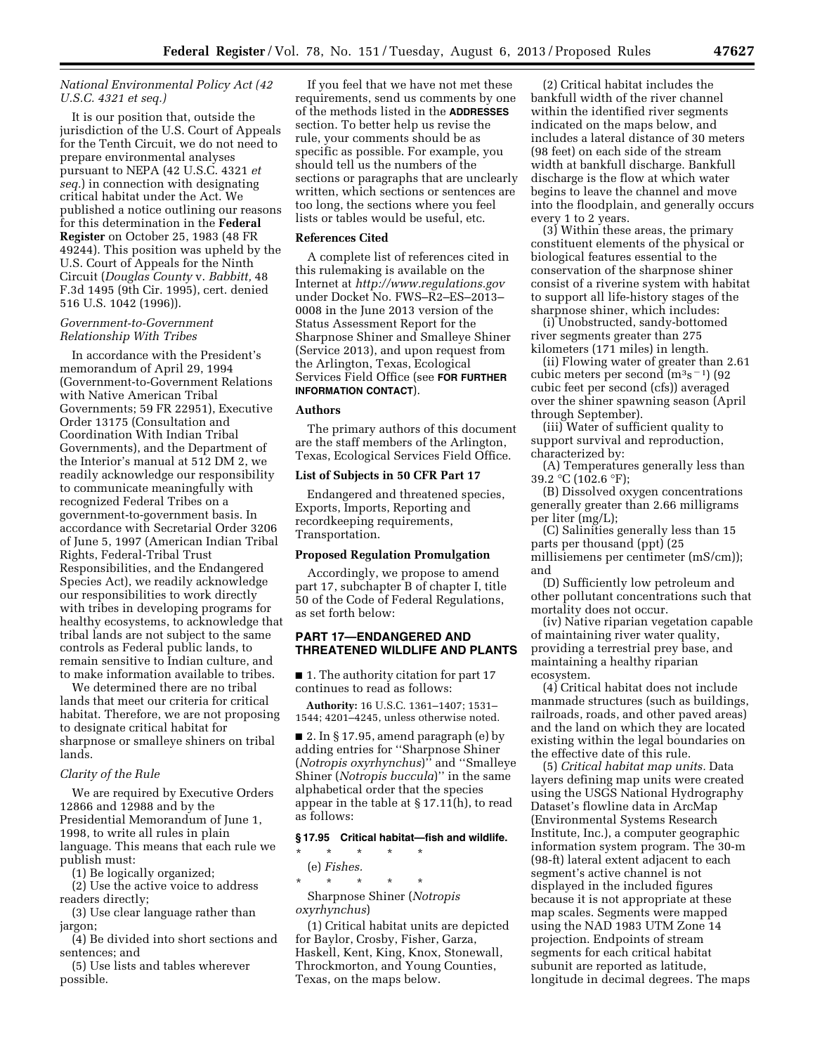# *National Environmental Policy Act (42 U.S.C. 4321 et seq.)*

It is our position that, outside the jurisdiction of the U.S. Court of Appeals for the Tenth Circuit, we do not need to prepare environmental analyses pursuant to NEPA (42 U.S.C. 4321 *et seq.*) in connection with designating critical habitat under the Act. We published a notice outlining our reasons for this determination in the **Federal Register** on October 25, 1983 (48 FR 49244). This position was upheld by the U.S. Court of Appeals for the Ninth Circuit (*Douglas County* v. *Babbitt,* 48 F.3d 1495 (9th Cir. 1995), cert. denied 516 U.S. 1042 (1996)).

# *Government-to-Government Relationship With Tribes*

In accordance with the President's memorandum of April 29, 1994 (Government-to-Government Relations with Native American Tribal Governments; 59 FR 22951), Executive Order 13175 (Consultation and Coordination With Indian Tribal Governments), and the Department of the Interior's manual at 512 DM 2, we readily acknowledge our responsibility to communicate meaningfully with recognized Federal Tribes on a government-to-government basis. In accordance with Secretarial Order 3206 of June 5, 1997 (American Indian Tribal Rights, Federal-Tribal Trust Responsibilities, and the Endangered Species Act), we readily acknowledge our responsibilities to work directly with tribes in developing programs for healthy ecosystems, to acknowledge that tribal lands are not subject to the same controls as Federal public lands, to remain sensitive to Indian culture, and to make information available to tribes.

We determined there are no tribal lands that meet our criteria for critical habitat. Therefore, we are not proposing to designate critical habitat for sharpnose or smalleye shiners on tribal lands.

# *Clarity of the Rule*

We are required by Executive Orders 12866 and 12988 and by the Presidential Memorandum of June 1, 1998, to write all rules in plain language. This means that each rule we publish must:

(1) Be logically organized;

(2) Use the active voice to address readers directly;

(3) Use clear language rather than jargon;

(4) Be divided into short sections and sentences; and

(5) Use lists and tables wherever possible.

If you feel that we have not met these requirements, send us comments by one of the methods listed in the **ADDRESSES** section. To better help us revise the rule, your comments should be as specific as possible. For example, you should tell us the numbers of the sections or paragraphs that are unclearly written, which sections or sentences are too long, the sections where you feel lists or tables would be useful, etc.

### **References Cited**

A complete list of references cited in this rulemaking is available on the Internet at *<http://www.regulations.gov>*  under Docket No. FWS–R2–ES–2013– 0008 in the June 2013 version of the Status Assessment Report for the Sharpnose Shiner and Smalleye Shiner (Service 2013), and upon request from the Arlington, Texas, Ecological Services Field Office (see **FOR FURTHER INFORMATION CONTACT**).

#### **Authors**

The primary authors of this document are the staff members of the Arlington, Texas, Ecological Services Field Office.

#### **List of Subjects in 50 CFR Part 17**

Endangered and threatened species, Exports, Imports, Reporting and recordkeeping requirements, Transportation.

# **Proposed Regulation Promulgation**

Accordingly, we propose to amend part 17, subchapter B of chapter I, title 50 of the Code of Federal Regulations, as set forth below:

# **PART 17—ENDANGERED AND THREATENED WILDLIFE AND PLANTS**

■ 1. The authority citation for part 17 continues to read as follows:

**Authority:** 16 U.S.C. 1361–1407; 1531– 1544; 4201–4245, unless otherwise noted.

■ 2. In § 17.95, amend paragraph (e) by adding entries for ''Sharpnose Shiner (*Notropis oxyrhynchus*)'' and ''Smalleye Shiner (*Notropis buccula*)'' in the same alphabetical order that the species appear in the table at § 17.11(h), to read as follows:

#### **§ 17.95 Critical habitat—fish and wildlife.**

\* \* \* \* \* (e) *Fishes.* 

\* \* \* \* \*

Sharpnose Shiner (*Notropis oxyrhynchus*)

(1) Critical habitat units are depicted for Baylor, Crosby, Fisher, Garza, Haskell, Kent, King, Knox, Stonewall, Throckmorton, and Young Counties, Texas, on the maps below.

(2) Critical habitat includes the bankfull width of the river channel within the identified river segments indicated on the maps below, and includes a lateral distance of 30 meters (98 feet) on each side of the stream width at bankfull discharge. Bankfull discharge is the flow at which water begins to leave the channel and move into the floodplain, and generally occurs every 1 to 2 years.

(3) Within these areas, the primary constituent elements of the physical or biological features essential to the conservation of the sharpnose shiner consist of a riverine system with habitat to support all life-history stages of the sharpnose shiner, which includes:

(i) Unobstructed, sandy-bottomed river segments greater than 275 kilometers (171 miles) in length.

(ii) Flowing water of greater than 2.61 cubic meters per second  $(m^3s^{-1})$  (92) cubic feet per second (cfs)) averaged over the shiner spawning season (April through September).

(iii) Water of sufficient quality to support survival and reproduction, characterized by:

(A) Temperatures generally less than 39.2 °C (102.6 °F);

(B) Dissolved oxygen concentrations generally greater than 2.66 milligrams per liter (mg/L);

(C) Salinities generally less than 15 parts per thousand (ppt) (25 millisiemens per centimeter (mS/cm)); and

(D) Sufficiently low petroleum and other pollutant concentrations such that mortality does not occur.

(iv) Native riparian vegetation capable of maintaining river water quality, providing a terrestrial prey base, and maintaining a healthy riparian ecosystem.

(4) Critical habitat does not include manmade structures (such as buildings, railroads, roads, and other paved areas) and the land on which they are located existing within the legal boundaries on the effective date of this rule.

(5) *Critical habitat map units.* Data layers defining map units were created using the USGS National Hydrography Dataset's flowline data in ArcMap (Environmental Systems Research Institute, Inc.), a computer geographic information system program. The 30-m (98-ft) lateral extent adjacent to each segment's active channel is not displayed in the included figures because it is not appropriate at these map scales. Segments were mapped using the NAD 1983 UTM Zone 14 projection. Endpoints of stream segments for each critical habitat subunit are reported as latitude, longitude in decimal degrees. The maps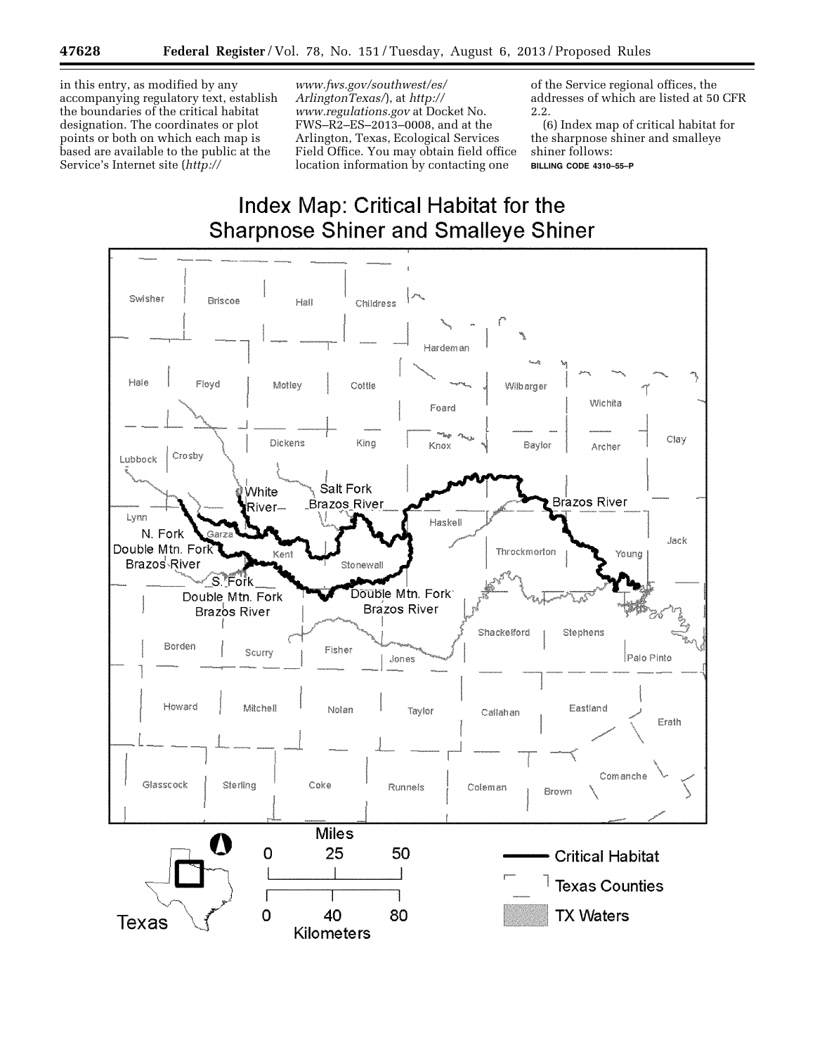in this entry, as modified by any accompanying regulatory text, establish the boundaries of the critical habitat designation. The coordinates or plot points or both on which each map is based are available to the public at the Service's Internet site (*[http://](http://www.fws.gov/southwest/es/ArlingtonTexas/)* 

*[www.fws.gov/southwest/es/](http://www.fws.gov/southwest/es/ArlingtonTexas/)  [ArlingtonTexas/](http://www.fws.gov/southwest/es/ArlingtonTexas/)*), at *[http://](http://www.regulations.gov)  [www.regulations.gov](http://www.regulations.gov)* at Docket No. FWS–R2–ES–2013–0008, and at the Arlington, Texas, Ecological Services Field Office. You may obtain field office location information by contacting one

of the Service regional offices, the addresses of which are listed at 50 CFR 2.2.

(6) Index map of critical habitat for the sharpnose shiner and smalleye shiner follows: **BILLING CODE 4310–55–P** 

# **Index Map: Critical Habitat for the Sharpnose Shiner and Smalleye Shiner**

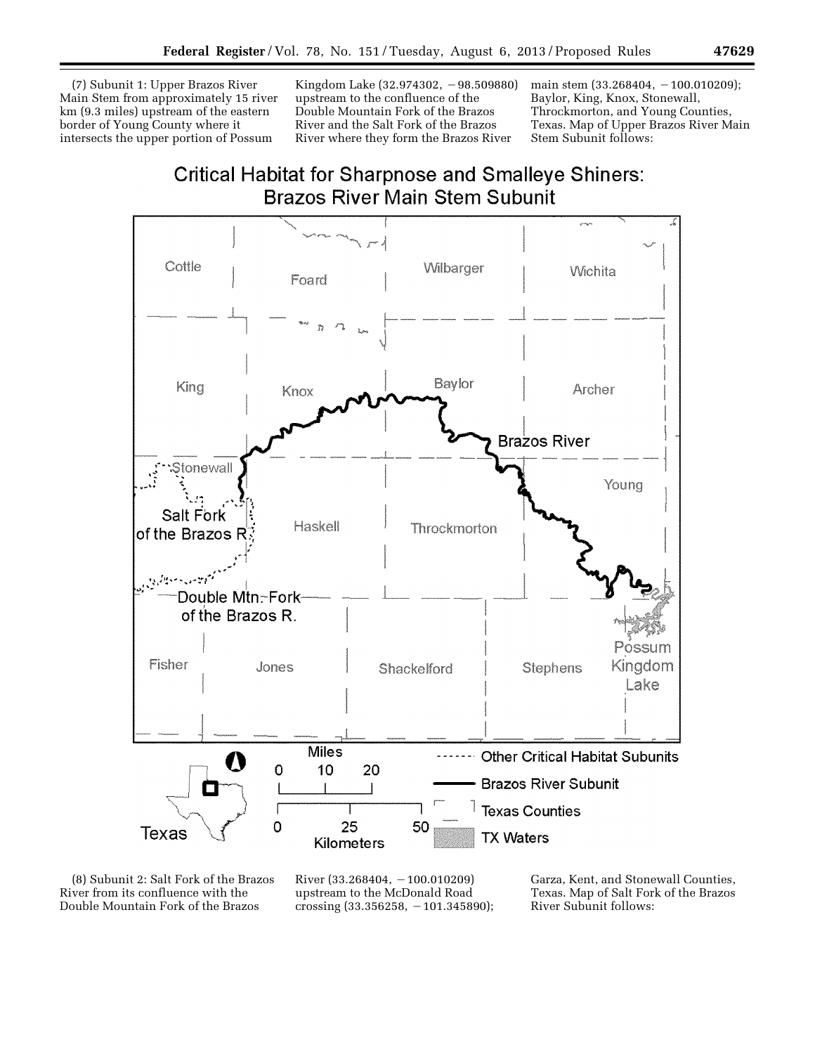(7) Subunit 1: Upper Brazos River Main Stem from approximately 15 river km (9.3 miles) upstream of the eastern border of Young County where it intersects the upper portion of Possum

Kingdom Lake  $(32.974302, -98.509880)$ upstream to the confluence of the Double Mountain Fork of the Brazos River and the Salt Fork of the Brazos River where they form the Brazos River

main stem  $(33.268404, -100.010209)$ ; Baylor, King, Knox, Stonewall, Throckmorton, and Young Counties, Texas. Map of Upper Brazos River Main Stem Subunit follows:

# Critical Habitat for Sharpnose and Smalleye Shiners: Brazos River Main Stem Subunit



(8) Subunit 2: Salt Fork of the Brazos River from its confluence with the Double Mountain Fork of the Brazos

River (33.268404,  $-100.010209$ ) upstream to the McDonald Road crossing (33.356258, -101.345890); Garza, Kent, and Stonewall Counties, Texas. Map of Salt Fork of the Brazos River Subunit follows: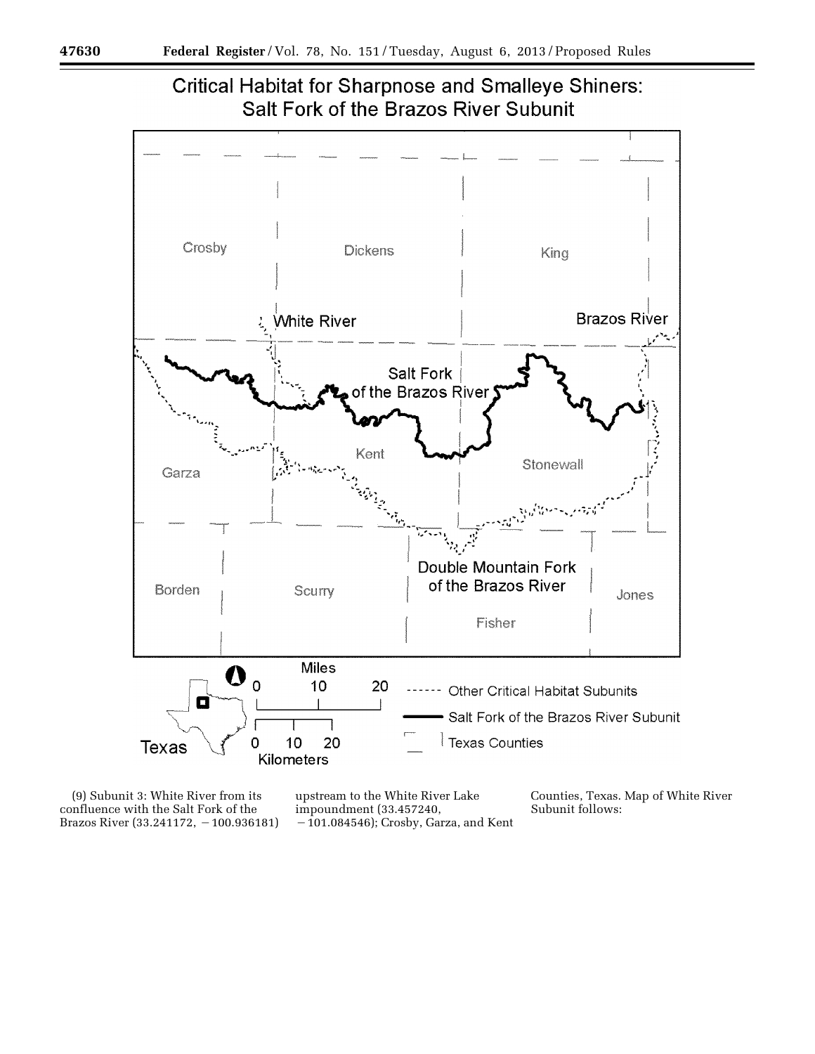

(9) Subunit 3: White River from its confluence with the Salt Fork of the Brazos River (33.241172, -100.936181)

upstream to the White River Lake impoundment (33.457240,  $-101.084546$ ; Crosby, Garza, and Kent Counties, Texas. Map of White River Subunit follows: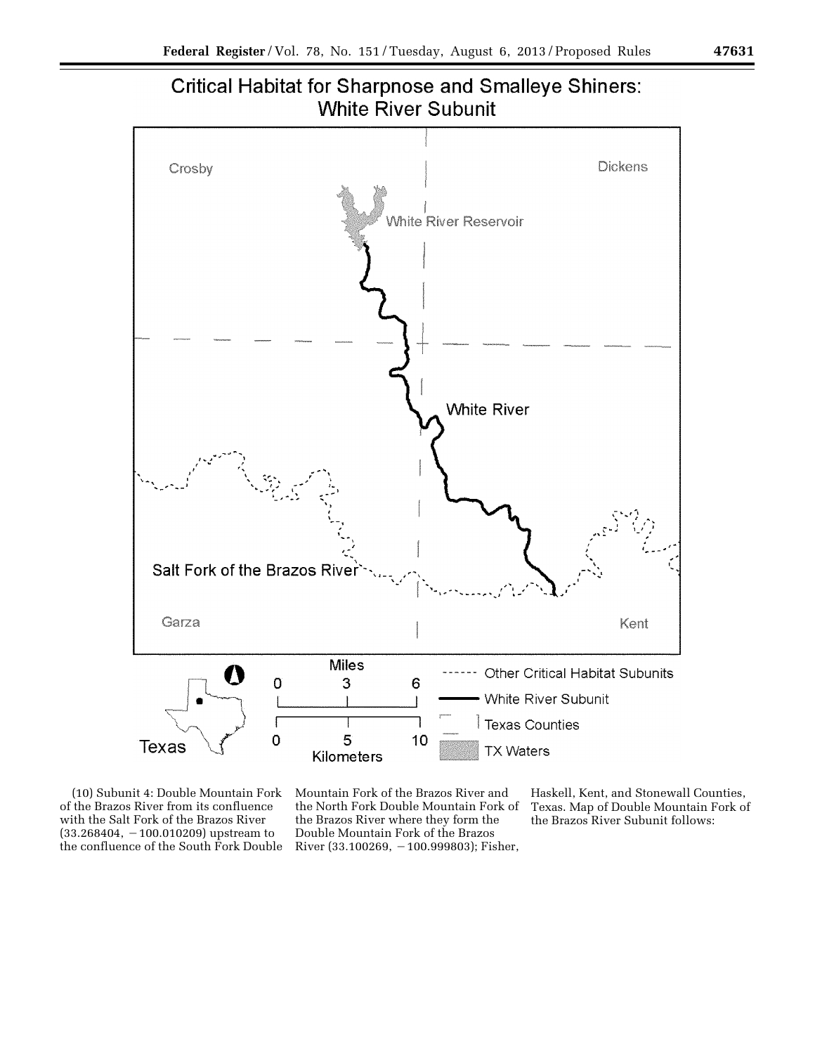



(10) Subunit 4: Double Mountain Fork of the Brazos River from its confluence with the Salt Fork of the Brazos River  $(33.268404, -100.010209)$  upstream to the confluence of the South Fork Double Mountain Fork of the Brazos River and the North Fork Double Mountain Fork of the Brazos River where they form the Double Mountain Fork of the Brazos River (33.100269,  $-100.999803$ ); Fisher,

Haskell, Kent, and Stonewall Counties, Texas. Map of Double Mountain Fork of the Brazos River Subunit follows: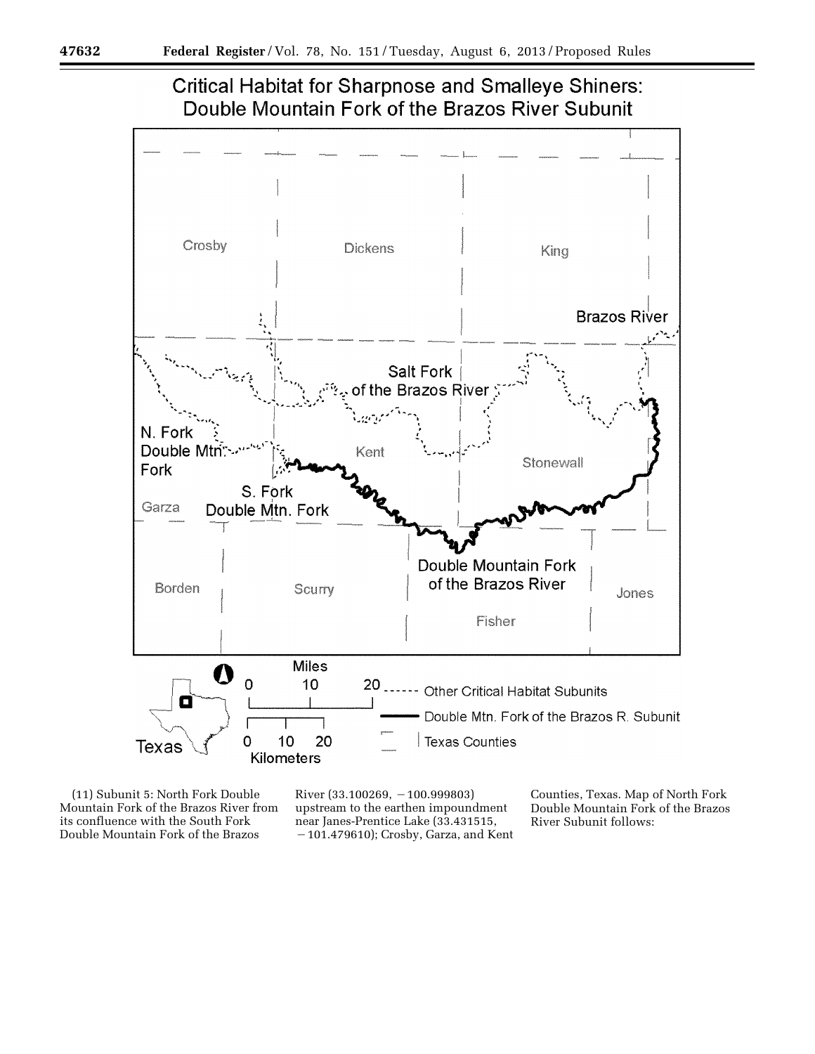

# **Critical Habitat for Sharpnose and Smalleye Shiners:** Double Mountain Fork of the Brazos River Subunit

(11) Subunit 5: North Fork Double Mountain Fork of the Brazos River from its confluence with the South Fork Double Mountain Fork of the Brazos

River  $(33.100269, -100.999803)$ upstream to the earthen impoundment near Janes-Prentice Lake (33.431515, ¥101.479610); Crosby, Garza, and Kent Counties, Texas. Map of North Fork Double Mountain Fork of the Brazos River Subunit follows: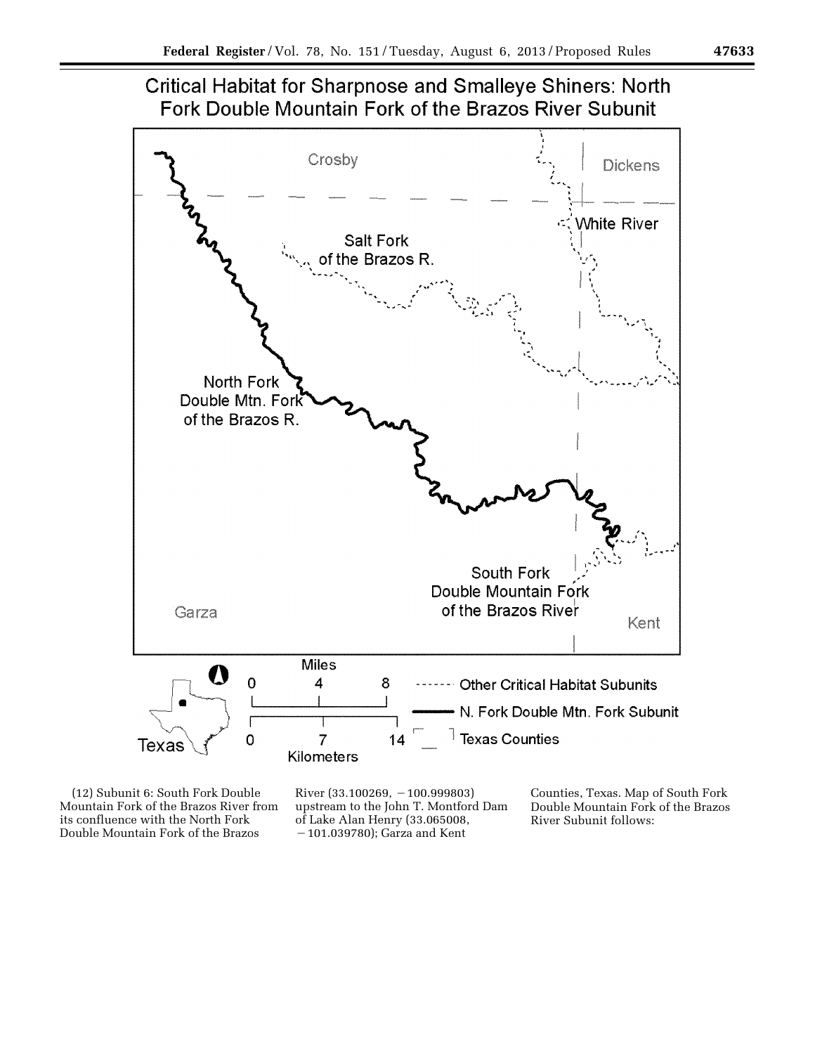



(12) Subunit 6: South Fork Double Mountain Fork of the Brazos River from its confluence with the North Fork Double Mountain Fork of the Brazos

River (33.100269,  $-100.999803$ ) upstream to the John T. Montford Dam of Lake Alan Henry (33.065008,  $-101.039780$ ); Garza and Kent

Counties, Texas. Map of South Fork Double Mountain Fork of the Brazos River Subunit follows: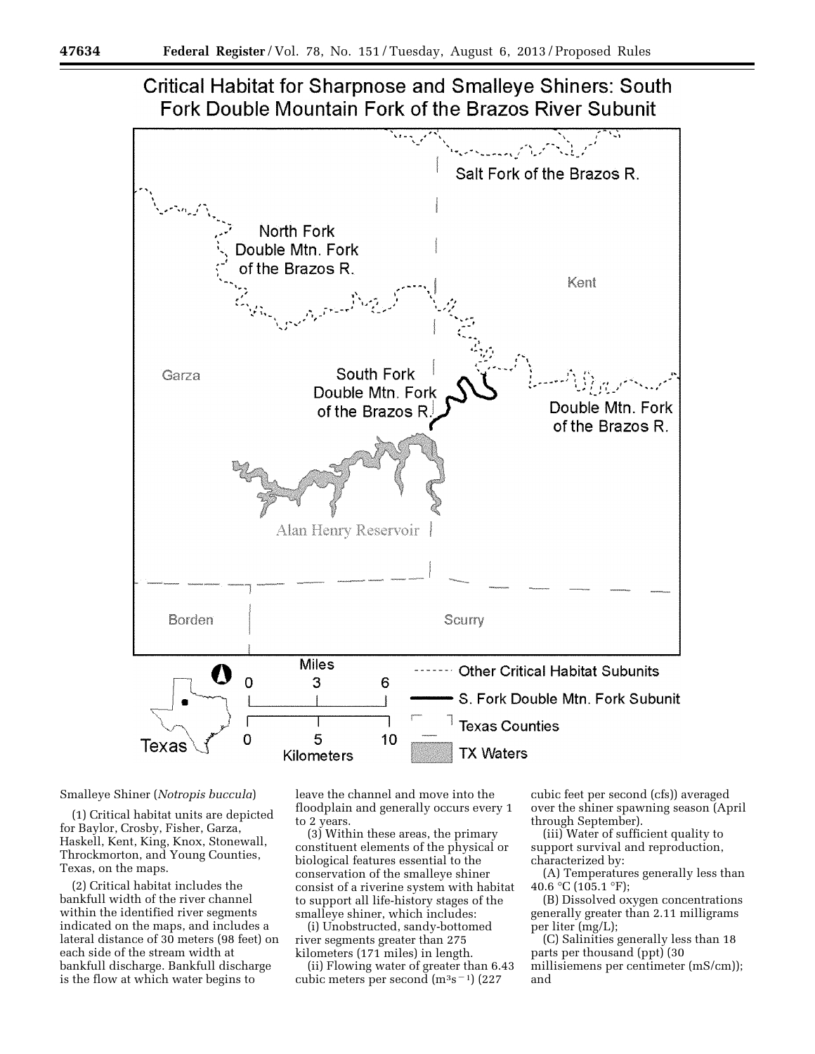



# Smalleye Shiner (*Notropis buccula*)

(1) Critical habitat units are depicted for Baylor, Crosby, Fisher, Garza, Haskell, Kent, King, Knox, Stonewall, Throckmorton, and Young Counties, Texas, on the maps.

(2) Critical habitat includes the bankfull width of the river channel within the identified river segments indicated on the maps, and includes a lateral distance of 30 meters (98 feet) on each side of the stream width at bankfull discharge. Bankfull discharge is the flow at which water begins to

leave the channel and move into the floodplain and generally occurs every 1 to 2 years.

(3) Within these areas, the primary constituent elements of the physical or biological features essential to the conservation of the smalleye shiner consist of a riverine system with habitat to support all life-history stages of the smalleye shiner, which includes:

(i) Unobstructed, sandy-bottomed river segments greater than 275 kilometers (171 miles) in length.

(ii) Flowing water of greater than 6.43 cubic meters per second  $(m^3s^{-1})$  (227)

cubic feet per second (cfs)) averaged over the shiner spawning season (April through September).

(iii) Water of sufficient quality to support survival and reproduction, characterized by:

(A) Temperatures generally less than 40.6 °C (105.1 °F);

(B) Dissolved oxygen concentrations generally greater than 2.11 milligrams per liter (mg/L);

(C) Salinities generally less than 18 parts per thousand (ppt) (30 millisiemens per centimeter (mS/cm)); and